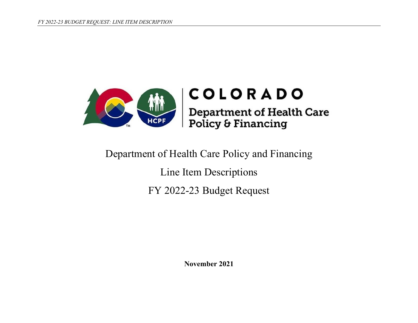

# Department of Health Care Policy and Financing

Line Item Descriptions FY 2022-23 Budget Request

**November 2021**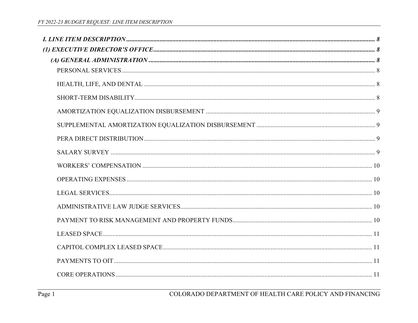| $(A) GENERAL ADMINISTRATION $ |  |
|-------------------------------|--|
|                               |  |
|                               |  |
|                               |  |
|                               |  |
|                               |  |
|                               |  |
|                               |  |
|                               |  |
|                               |  |
|                               |  |
|                               |  |
|                               |  |
|                               |  |
|                               |  |
|                               |  |
|                               |  |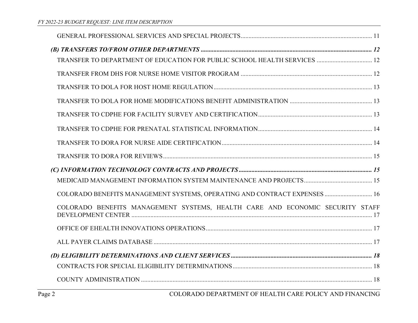| COLORADO BENEFITS MANAGEMENT SYSTEMS, OPERATING AND CONTRACT EXPENSES  16     |
|-------------------------------------------------------------------------------|
| COLORADO BENEFITS MANAGEMENT SYSTEMS, HEALTH CARE AND ECONOMIC SECURITY STAFF |
|                                                                               |
|                                                                               |
|                                                                               |
|                                                                               |
|                                                                               |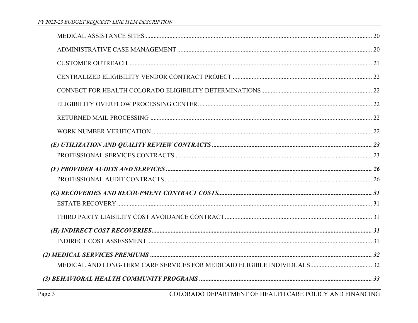| $(H) INDIRECT COST RECOVERIES. \hspace{100pt} 31$ |  |
|---------------------------------------------------|--|
|                                                   |  |
|                                                   |  |
|                                                   |  |
|                                                   |  |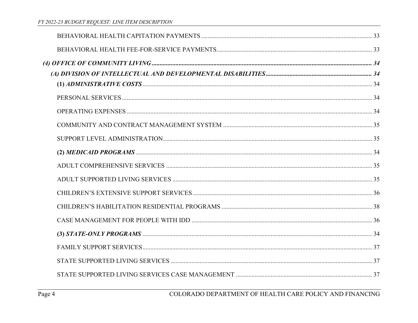| (3) STATE-ONLY PROGRAMS $\ldots$ 34 |  |
|-------------------------------------|--|
|                                     |  |
|                                     |  |
|                                     |  |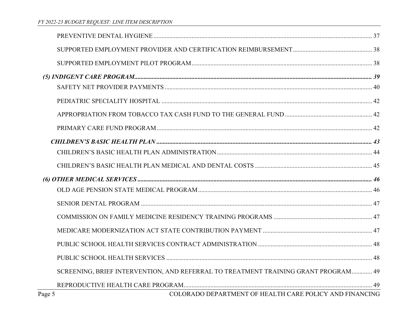|        | SCREENING, BRIEF INTERVENTION, AND REFERRAL TO TREATMENT TRAINING GRANT PROGRAM 49 |  |
|--------|------------------------------------------------------------------------------------|--|
|        |                                                                                    |  |
| Page 5 | COLORADO DEPARTMENT OF HEALTH CARE POLICY AND FINANCING                            |  |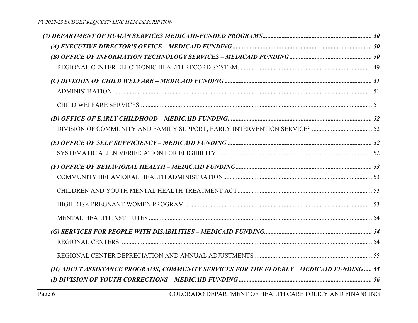| (H) ADULT ASSISTANCE PROGRAMS, COMMUNITY SERVICES FOR THE ELDERLY - MEDICAID FUNDING 55 |  |
|-----------------------------------------------------------------------------------------|--|
|                                                                                         |  |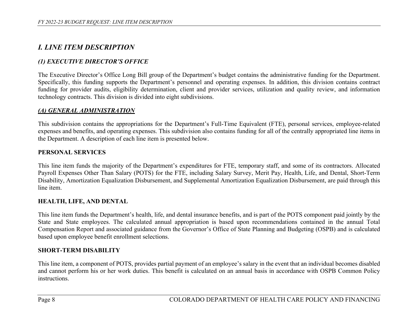# *I. LINE ITEM DESCRIPTION*

# *(1) EXECUTIVE DIRECTOR'S OFFICE*

The Executive Director's Office Long Bill group of the Department's budget contains the administrative funding for the Department. Specifically, this funding supports the Department's personnel and operating expenses. In addition, this division contains contract funding for provider audits, eligibility determination, client and provider services, utilization and quality review, and information technology contracts. This division is divided into eight subdivisions.

#### *(A) GENERAL ADMINISTRATION*

This subdivision contains the appropriations for the Department's Full-Time Equivalent (FTE), personal services, employee-related expenses and benefits, and operating expenses. This subdivision also contains funding for all of the centrally appropriated line items in the Department. A description of each line item is presented below.

#### **PERSONAL SERVICES**

This line item funds the majority of the Department's expenditures for FTE, temporary staff, and some of its contractors. Allocated Payroll Expenses Other Than Salary (POTS) for the FTE, including Salary Survey, Merit Pay, Health, Life, and Dental, Short-Term Disability, Amortization Equalization Disbursement, and Supplemental Amortization Equalization Disbursement, are paid through this line item.

#### **HEALTH, LIFE, AND DENTAL**

This line item funds the Department's health, life, and dental insurance benefits, and is part of the POTS component paid jointly by the State and State employees. The calculated annual appropriation is based upon recommendations contained in the annual Total Compensation Report and associated guidance from the Governor's Office of State Planning and Budgeting (OSPB) and is calculated based upon employee benefit enrollment selections.

#### **SHORT-TERM DISABILITY**

This line item, a component of POTS, provides partial payment of an employee's salary in the event that an individual becomes disabled and cannot perform his or her work duties. This benefit is calculated on an annual basis in accordance with OSPB Common Policy instructions.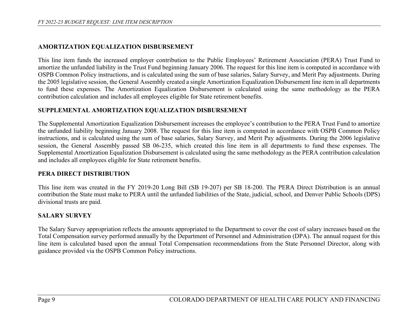## **AMORTIZATION EQUALIZATION DISBURSEMENT**

This line item funds the increased employer contribution to the Public Employees' Retirement Association (PERA) Trust Fund to amortize the unfunded liability in the Trust Fund beginning January 2006. The request for this line item is computed in accordance with OSPB Common Policy instructions, and is calculated using the sum of base salaries, Salary Survey, and Merit Pay adjustments. During the 2005 legislative session, the General Assembly created a single Amortization Equalization Disbursement line item in all departments to fund these expenses. The Amortization Equalization Disbursement is calculated using the same methodology as the PERA contribution calculation and includes all employees eligible for State retirement benefits.

#### **SUPPLEMENTAL AMORTIZATION EQUALIZATION DISBURSEMENT**

The Supplemental Amortization Equalization Disbursement increases the employee's contribution to the PERA Trust Fund to amortize the unfunded liability beginning January 2008. The request for this line item is computed in accordance with OSPB Common Policy instructions, and is calculated using the sum of base salaries, Salary Survey, and Merit Pay adjustments. During the 2006 legislative session, the General Assembly passed SB 06-235, which created this line item in all departments to fund these expenses. The Supplemental Amortization Equalization Disbursement is calculated using the same methodology as the PERA contribution calculation and includes all employees eligible for State retirement benefits.

#### **PERA DIRECT DISTRIBUTION**

This line item was created in the FY 2019-20 Long Bill (SB 19-207) per SB 18-200. The PERA Direct Distribution is an annual contribution the State must make to PERA until the unfunded liabilities of the State, judicial, school, and Denver Public Schools (DPS) divisional trusts are paid.

#### **SALARY SURVEY**

The Salary Survey appropriation reflects the amounts appropriated to the Department to cover the cost of salary increases based on the Total Compensation survey performed annually by the Department of Personnel and Administration (DPA). The annual request for this line item is calculated based upon the annual Total Compensation recommendations from the State Personnel Director, along with guidance provided via the OSPB Common Policy instructions.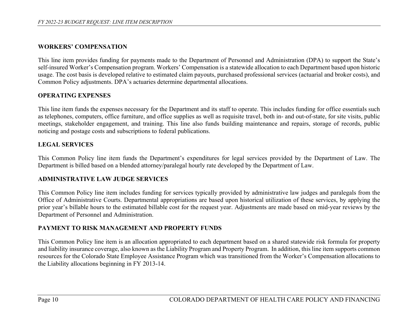## **WORKERS' COMPENSATION**

This line item provides funding for payments made to the Department of Personnel and Administration (DPA) to support the State's self-insured Worker's Compensation program. Workers' Compensation is a statewide allocation to each Department based upon historic usage. The cost basis is developed relative to estimated claim payouts, purchased professional services (actuarial and broker costs), and Common Policy adjustments. DPA's actuaries determine departmental allocations.

## **OPERATING EXPENSES**

This line item funds the expenses necessary for the Department and its staff to operate. This includes funding for office essentials such as telephones, computers, office furniture, and office supplies as well as requisite travel, both in- and out-of-state, for site visits, public meetings, stakeholder engagement, and training. This line also funds building maintenance and repairs, storage of records, public noticing and postage costs and subscriptions to federal publications.

### **LEGAL SERVICES**

This Common Policy line item funds the Department's expenditures for legal services provided by the Department of Law. The Department is billed based on a blended attorney/paralegal hourly rate developed by the Department of Law.

#### **ADMINISTRATIVE LAW JUDGE SERVICES**

This Common Policy line item includes funding for services typically provided by administrative law judges and paralegals from the Office of Administrative Courts. Departmental appropriations are based upon historical utilization of these services, by applying the prior year's billable hours to the estimated billable cost for the request year. Adjustments are made based on mid-year reviews by the Department of Personnel and Administration.

## **PAYMENT TO RISK MANAGEMENT AND PROPERTY FUNDS**

This Common Policy line item is an allocation appropriated to each department based on a shared statewide risk formula for property and liability insurance coverage, also known as the Liability Program and Property Program. In addition, this line item supports common resources for the Colorado State Employee Assistance Program which was transitioned from the Worker's Compensation allocations to the Liability allocations beginning in FY 2013-14.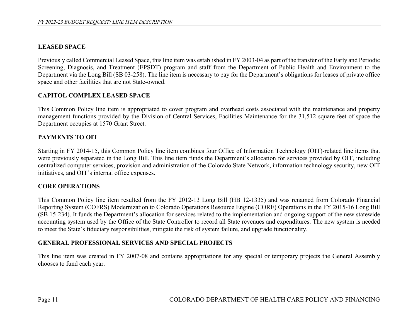## **LEASED SPACE**

Previously called Commercial Leased Space, this line item was established in FY 2003-04 as part of the transfer of the Early and Periodic Screening, Diagnosis, and Treatment (EPSDT) program and staff from the Department of Public Health and Environment to the Department via the Long Bill (SB 03-258). The line item is necessary to pay for the Department's obligations for leases of private office space and other facilities that are not State-owned.

## **CAPITOL COMPLEX LEASED SPACE**

This Common Policy line item is appropriated to cover program and overhead costs associated with the maintenance and property management functions provided by the Division of Central Services, Facilities Maintenance for the 31,512 square feet of space the Department occupies at 1570 Grant Street.

## **PAYMENTS TO OIT**

Starting in FY 2014-15, this Common Policy line item combines four Office of Information Technology (OIT)-related line items that were previously separated in the Long Bill. This line item funds the Department's allocation for services provided by OIT, including centralized computer services, provision and administration of the Colorado State Network, information technology security, new OIT initiatives, and OIT's internal office expenses.

## **CORE OPERATIONS**

This Common Policy line item resulted from the FY 2012-13 Long Bill (HB 12-1335) and was renamed from Colorado Financial Reporting System (COFRS) Modernization to Colorado Operations Resource Engine (CORE) Operations in the FY 2015-16 Long Bill (SB 15-234). It funds the Department's allocation for services related to the implementation and ongoing support of the new statewide accounting system used by the Office of the State Controller to record all State revenues and expenditures. The new system is needed to meet the State's fiduciary responsibilities, mitigate the risk of system failure, and upgrade functionality.

#### **GENERAL PROFESSIONAL SERVICES AND SPECIAL PROJECTS**

This line item was created in FY 2007-08 and contains appropriations for any special or temporary projects the General Assembly chooses to fund each year.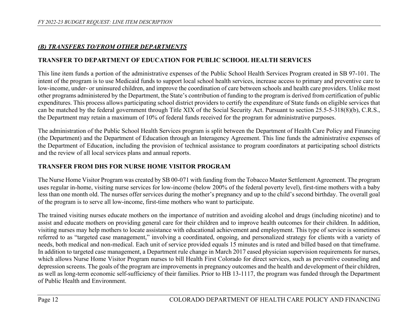# *(B) TRANSFERS TO/FROM OTHER DEPARTMENTS*

# **TRANSFER TO DEPARTMENT OF EDUCATION FOR PUBLIC SCHOOL HEALTH SERVICES**

This line item funds a portion of the administrative expenses of the Public School Health Services Program created in SB 97-101. The intent of the program is to use Medicaid funds to support local school health services, increase access to primary and preventive care to low-income, under- or uninsured children, and improve the coordination of care between schools and health care providers. Unlike most other programs administered by the Department, the State's contribution of funding to the program is derived from certification of public expenditures. This process allows participating school district providers to certify the expenditure of State funds on eligible services that can be matched by the federal government through Title XIX of the Social Security Act. Pursuant to section 25.5-5-318(8)(b), C.R.S., the Department may retain a maximum of 10% of federal funds received for the program for administrative purposes.

The administration of the Public School Health Services program is split between the Department of Health Care Policy and Financing (the Department) and the Department of Education through an Interagency Agreement. This line funds the administrative expenses of the Department of Education, including the provision of technical assistance to program coordinators at participating school districts and the review of all local services plans and annual reports.

# **TRANSFER FROM DHS FOR NURSE HOME VISITOR PROGRAM**

The Nurse Home Visitor Program was created by SB 00-071 with funding from the Tobacco Master Settlement Agreement. The program uses regular in-home, visiting nurse services for low-income (below 200% of the federal poverty level), first-time mothers with a baby less than one month old. The nurses offer services during the mother's pregnancy and up to the child's second birthday. The overall goal of the program is to serve all low-income, first-time mothers who want to participate.

The trained visiting nurses educate mothers on the importance of nutrition and avoiding alcohol and drugs (including nicotine) and to assist and educate mothers on providing general care for their children and to improve health outcomes for their children. In addition, visiting nurses may help mothers to locate assistance with educational achievement and employment. This type of service is sometimes referred to as "targeted case management," involving a coordinated, ongoing, and personalized strategy for clients with a variety of needs, both medical and non-medical. Each unit of service provided equals 15 minutes and is rated and billed based on that timeframe. In addition to targeted case management, a Department rule change in March 2017 eased physician supervision requirements for nurses, which allows Nurse Home Visitor Program nurses to bill Health First Colorado for direct services, such as preventive counseling and depression screens. The goals of the program are improvements in pregnancy outcomes and the health and development of their children, as well as long-term economic self-sufficiency of their families. Prior to HB 13-1117, the program was funded through the Department of Public Health and Environment.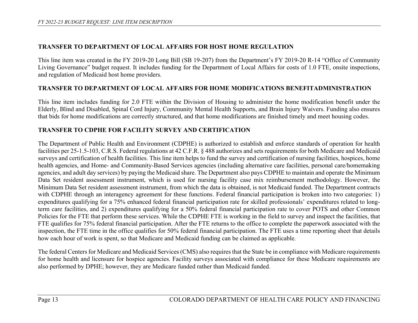## **TRANSFER TO DEPARTMENT OF LOCAL AFFAIRS FOR HOST HOME REGULATION**

This line item was created in the FY 2019-20 Long Bill (SB 19-207) from the Department's FY 2019-20 R-14 "Office of Community Living Governance" budget request. It includes funding for the Department of Local Affairs for costs of 1.0 FTE, onsite inspections, and regulation of Medicaid host home providers.

## **TRANSFER TO DEPARTMENT OF LOCAL AFFAIRS FOR HOME MODIFICATIONS BENEFITADMINISTRATION**

This line item includes funding for 2.0 FTE within the Division of Housing to administer the home modification benefit under the Elderly, Blind and Disabled, Spinal Cord Injury, Community Mental Health Supports, and Brain Injury Waivers. Funding also ensures that bids for home modifications are correctly structured, and that home modifications are finished timely and meet housing codes.

### **TRANSFER TO CDPHE FOR FACILITY SURVEY AND CERTIFICATION**

The Department of Public Health and Environment (CDPHE) is authorized to establish and enforce standards of operation for health facilities per 25-1.5-103, C.R.S. Federal regulations at 42 C.F.R. § 488 authorizes and sets requirements for both Medicare and Medicaid surveys and certification of health facilities. This line item helps to fund the survey and certification of nursing facilities, hospices, home health agencies, and Home- and Community-Based Services agencies (including alternative care facilities, personal care/homemaking agencies, and adult day services) by paying the Medicaid share. The Department also pays CDPHE to maintain and operate the Minimum Data Set resident assessment instrument, which is used for nursing facility case mix reimbursement methodology. However, the Minimum Data Set resident assessment instrument, from which the data is obtained, is not Medicaid funded. The Department contracts with CDPHE through an interagency agreement for these functions. Federal financial participation is broken into two categories: 1) expenditures qualifying for a 75% enhanced federal financial participation rate for skilled professionals' expenditures related to longterm care facilities, and 2) expenditures qualifying for a 50% federal financial participation rate to cover POTS and other Common Policies for the FTE that perform these services. While the CDPHE FTE is working in the field to survey and inspect the facilities, that FTE qualifies for 75% federal financial participation. After the FTE returns to the office to complete the paperwork associated with the inspection, the FTE time in the office qualifies for 50% federal financial participation. The FTE uses a time reporting sheet that details how each hour of work is spent, so that Medicare and Medicaid funding can be claimed as applicable.

The federal Centers for Medicare and Medicaid Services (CMS) also requires that the State be in compliance with Medicare requirements for home health and licensure for hospice agencies. Facility surveys associated with compliance for these Medicare requirements are also performed by DPHE; however, they are Medicare funded rather than Medicaid funded.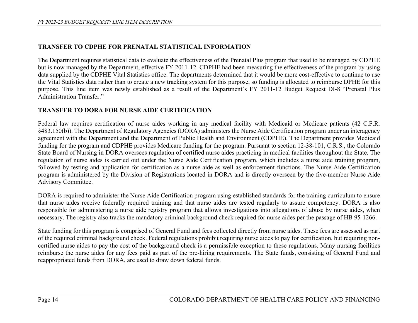# **TRANSFER TO CDPHE FOR PRENATAL STATISTICAL INFORMATION**

The Department requires statistical data to evaluate the effectiveness of the Prenatal Plus program that used to be managed by CDPHE but is now managed by the Department, effective FY 2011-12. CDPHE had been measuring the effectiveness of the program by using data supplied by the CDPHE Vital Statistics office. The departments determined that it would be more cost-effective to continue to use the Vital Statistics data rather than to create a new tracking system for this purpose, so funding is allocated to reimburse DPHE for this purpose. This line item was newly established as a result of the Department's FY 2011-12 Budget Request DI-8 "Prenatal Plus Administration Transfer."

### **TRANSFER TO DORA FOR NURSE AIDE CERTIFICATION**

Federal law requires certification of nurse aides working in any medical facility with Medicaid or Medicare patients (42 C.F.R. §483.150(b)). The Department of Regulatory Agencies (DORA) administers the Nurse Aide Certification program under an interagency agreement with the Department and the Department of Public Health and Environment (CDPHE). The Department provides Medicaid funding for the program and CDPHE provides Medicare funding for the program. Pursuant to section 12-38-101, C.R.S., the Colorado State Board of Nursing in DORA oversees regulation of certified nurse aides practicing in medical facilities throughout the State. The regulation of nurse aides is carried out under the Nurse Aide Certification program, which includes a nurse aide training program, followed by testing and application for certification as a nurse aide as well as enforcement functions. The Nurse Aide Certification program is administered by the Division of Registrations located in DORA and is directly overseen by the five-member Nurse Aide Advisory Committee.

DORA is required to administer the Nurse Aide Certification program using established standards for the training curriculum to ensure that nurse aides receive federally required training and that nurse aides are tested regularly to assure competency. DORA is also responsible for administering a nurse aide registry program that allows investigations into allegations of abuse by nurse aides, when necessary. The registry also tracks the mandatory criminal background check required for nurse aides per the passage of HB 95-1266.

State funding for this program is comprised of General Fund and fees collected directly from nurse aides. These fees are assessed as part of the required criminal background check. Federal regulations prohibit requiring nurse aides to pay for certification, but requiring noncertified nurse aides to pay the cost of the background check is a permissible exception to these regulations. Many nursing facilities reimburse the nurse aides for any fees paid as part of the pre-hiring requirements. The State funds, consisting of General Fund and reappropriated funds from DORA, are used to draw down federal funds.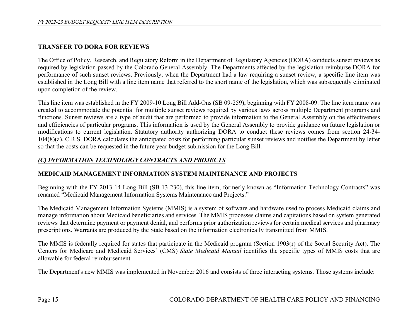# **TRANSFER TO DORA FOR REVIEWS**

The Office of Policy, Research, and Regulatory Reform in the Department of Regulatory Agencies (DORA) conducts sunset reviews as required by legislation passed by the Colorado General Assembly. The Departments affected by the legislation reimburse DORA for performance of such sunset reviews. Previously, when the Department had a law requiring a sunset review, a specific line item was established in the Long Bill with a line item name that referred to the short name of the legislation, which was subsequently eliminated upon completion of the review.

This line item was established in the FY 2009-10 Long Bill Add-Ons (SB 09-259), beginning with FY 2008-09. The line item name was created to accommodate the potential for multiple sunset reviews required by various laws across multiple Department programs and functions. Sunset reviews are a type of audit that are performed to provide information to the General Assembly on the effectiveness and efficiencies of particular programs. This information is used by the General Assembly to provide guidance on future legislation or modifications to current legislation. Statutory authority authorizing DORA to conduct these reviews comes from section 24-34- 104(8)(a), C.R.S. DORA calculates the anticipated costs for performing particular sunset reviews and notifies the Department by letter so that the costs can be requested in the future year budget submission for the Long Bill.

# *(C) INFORMATION TECHNOLOGY CONTRACTS AND PROJECTS*

## **MEDICAID MANAGEMENT INFORMATION SYSTEM MAINTENANCE AND PROJECTS**

Beginning with the FY 2013-14 Long Bill (SB 13-230), this line item, formerly known as "Information Technology Contracts" was renamed "Medicaid Management Information Systems Maintenance and Projects."

The Medicaid Management Information Systems (MMIS) is a system of software and hardware used to process Medicaid claims and manage information about Medicaid beneficiaries and services. The MMIS processes claims and capitations based on system generated reviews that determine payment or payment denial, and performs prior authorization reviews for certain medical services and pharmacy prescriptions. Warrants are produced by the State based on the information electronically transmitted from MMIS.

The MMIS is federally required for states that participate in the Medicaid program (Section 1903(r) of the Social Security Act). The Centers for Medicare and Medicaid Services' (CMS) *State Medicaid Manual* identifies the specific types of MMIS costs that are allowable for federal reimbursement.

The Department's new MMIS was implemented in November 2016 and consists of three interacting systems. Those systems include: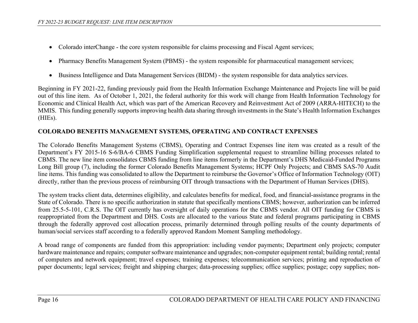- Colorado interChange the core system responsible for claims processing and Fiscal Agent services;
- Pharmacy Benefits Management System (PBMS) the system responsible for pharmaceutical management services;
- Business Intelligence and Data Management Services (BIDM) the system responsible for data analytics services.

Beginning in FY 2021-22, funding previously paid from the Health Information Exchange Maintenance and Projects line will be paid out of this line item. As of October 1, 2021, the federal authority for this work will change from Health Information Technology for Economic and Clinical Health Act, which was part of the American Recovery and Reinvestment Act of 2009 (ARRA-HITECH) to the MMIS. This funding generally supports improving health data sharing through investments in the State's Health Information Exchanges (HIEs).

#### **COLORADO BENEFITS MANAGEMENT SYSTEMS, OPERATING AND CONTRACT EXPENSES**

The Colorado Benefits Management Systems (CBMS), Operating and Contract Expenses line item was created as a result of the Department's FY 2015-16 S-6/BA-6 CBMS Funding Simplification supplemental request to streamline billing processes related to CBMS. The new line item consolidates CBMS funding from line items formerly in the Department's DHS Medicaid-Funded Programs Long Bill group (7), including the former Colorado Benefits Management Systems; HCPF Only Projects; and CBMS SAS-70 Audit line items. This funding was consolidated to allow the Department to reimburse the Governor's Office of Information Technology (OIT) directly, rather than the previous process of reimbursing OIT through transactions with the Department of Human Services (DHS).

The system tracks client data, determines eligibility, and calculates benefits for medical, food, and financial-assistance programs in the State of Colorado. There is no specific authorization in statute that specifically mentions CBMS; however, authorization can be inferred from 25.5-5-101, C.R.S. The OIT currently has oversight of daily operations for the CBMS vendor. All OIT funding for CBMS is reappropriated from the Department and DHS. Costs are allocated to the various State and federal programs participating in CBMS through the federally approved cost allocation process, primarily determined through polling results of the county departments of human/social services staff according to a federally approved Random Moment Sampling methodology.

A broad range of components are funded from this appropriation: including vendor payments; Department only projects; computer hardware maintenance and repairs; computer software maintenance and upgrades; non-computer equipment rental; building rental; rental of computers and network equipment; travel expenses; training expenses; telecommunication services; printing and reproduction of paper documents; legal services; freight and shipping charges; data-processing supplies; office supplies; postage; copy supplies; non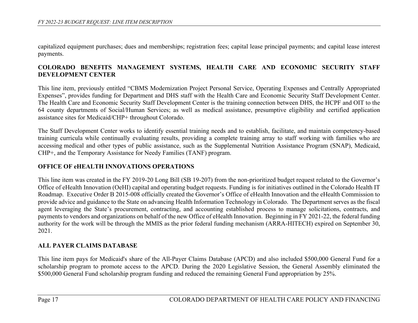capitalized equipment purchases; dues and memberships; registration fees; capital lease principal payments; and capital lease interest payments.

## **COLORADO BENEFITS MANAGEMENT SYSTEMS, HEALTH CARE AND ECONOMIC SECURITY STAFF DEVELOPMENT CENTER**

This line item, previously entitled "CBMS Modernization Project Personal Service, Operating Expenses and Centrally Appropriated Expenses", provides funding for Department and DHS staff with the Health Care and Economic Security Staff Development Center. The Health Care and Economic Security Staff Development Center is the training connection between DHS, the HCPF and OIT to the 64 county departments of Social/Human Services; as well as medical assistance, presumptive eligibility and certified application assistance sites for Medicaid/CHP+ throughout Colorado.

The Staff Development Center works to identify essential training needs and to establish, facilitate, and maintain competency-based training curricula while continually evaluating results, providing a complete training array to staff working with families who are accessing medical and other types of public assistance, such as the Supplemental Nutrition Assistance Program (SNAP), Medicaid, CHP+, and the Temporary Assistance for Needy Families (TANF) program.

## **OFFICE OF eHEALTH INNOVATIONS OPERATIONS**

This line item was created in the FY 2019-20 Long Bill (SB 19-207) from the non-prioritized budget request related to the Governor's Office of eHealth Innovation (OeHI) capital and operating budget requests. Funding is for initiatives outlined in the Colorado Health IT Roadmap. Executive Order B 2015-008 officially created the Governor's Office of eHealth Innovation and the eHealth Commission to provide advice and guidance to the State on advancing Health Information Technology in Colorado. The Department serves as the fiscal agent leveraging the State's procurement, contracting, and accounting established process to manage solicitations, contracts, and payments to vendors and organizations on behalf of the new Office of eHealth Innovation. Beginning in FY 2021-22, the federal funding authority for the work will be through the MMIS as the prior federal funding mechanism (ARRA-HITECH) expired on September 30, 2021.

#### **ALL PAYER CLAIMS DATABASE**

This line item pays for Medicaid's share of the All-Payer Claims Database (APCD) and also included \$500,000 General Fund for a scholarship program to promote access to the APCD. During the 2020 Legislative Session, the General Assembly eliminated the \$500,000 General Fund scholarship program funding and reduced the remaining General Fund appropriation by 25%.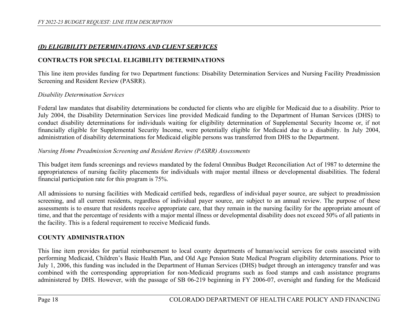## *(D) ELIGIBILITY DETERMINATIONS AND CLIENT SERVICES*

## **CONTRACTS FOR SPECIAL ELIGIBILITY DETERMINATIONS**

This line item provides funding for two Department functions: Disability Determination Services and Nursing Facility Preadmission Screening and Resident Review (PASRR).

#### *Disability Determination Services*

Federal law mandates that disability determinations be conducted for clients who are eligible for Medicaid due to a disability. Prior to July 2004, the Disability Determination Services line provided Medicaid funding to the Department of Human Services (DHS) to conduct disability determinations for individuals waiting for eligibility determination of Supplemental Security Income or, if not financially eligible for Supplemental Security Income, were potentially eligible for Medicaid due to a disability. In July 2004, administration of disability determinations for Medicaid eligible persons was transferred from DHS to the Department.

#### *Nursing Home Preadmission Screening and Resident Review (PASRR) Assessments*

This budget item funds screenings and reviews mandated by the federal Omnibus Budget Reconciliation Act of 1987 to determine the appropriateness of nursing facility placements for individuals with major mental illness or developmental disabilities. The federal financial participation rate for this program is 75%.

All admissions to nursing facilities with Medicaid certified beds, regardless of individual payer source, are subject to preadmission screening, and all current residents, regardless of individual payer source, are subject to an annual review. The purpose of these assessments is to ensure that residents receive appropriate care, that they remain in the nursing facility for the appropriate amount of time, and that the percentage of residents with a major mental illness or developmental disability does not exceed 50% of all patients in the facility. This is a federal requirement to receive Medicaid funds.

#### **COUNTY ADMINISTRATION**

This line item provides for partial reimbursement to local county departments of human/social services for costs associated with performing Medicaid, Children's Basic Health Plan, and Old Age Pension State Medical Program eligibility determinations. Prior to July 1, 2006, this funding was included in the Department of Human Services (DHS) budget through an interagency transfer and was combined with the corresponding appropriation for non-Medicaid programs such as food stamps and cash assistance programs administered by DHS. However, with the passage of SB 06-219 beginning in FY 2006-07, oversight and funding for the Medicaid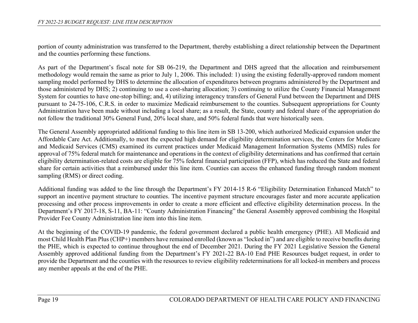portion of county administration was transferred to the Department, thereby establishing a direct relationship between the Department and the counties performing these functions.

As part of the Department's fiscal note for SB 06-219, the Department and DHS agreed that the allocation and reimbursement methodology would remain the same as prior to July 1, 2006. This included: 1) using the existing federally-approved random moment sampling model performed by DHS to determine the allocation of expenditures between programs administered by the Department and those administered by DHS; 2) continuing to use a cost-sharing allocation; 3) continuing to utilize the County Financial Management System for counties to have one-stop billing; and, 4) utilizing interagency transfers of General Fund between the Department and DHS pursuant to 24-75-106, C.R.S. in order to maximize Medicaid reimbursement to the counties. Subsequent appropriations for County Administration have been made without including a local share; as a result, the State, county and federal share of the appropriation do not follow the traditional 30% General Fund, 20% local share, and 50% federal funds that were historically seen.

The General Assembly appropriated additional funding to this line item in SB 13-200, which authorized Medicaid expansion under the Affordable Care Act. Additionally, to meet the expected high demand for eligibility determination services, the Centers for Medicare and Medicaid Services (CMS) examined its current practices under Medicaid Management Information Systems (MMIS) rules for approval of 75% federal match for maintenance and operations in the context of eligibility determinations and has confirmed that certain eligibility determination-related costs are eligible for 75% federal financial participation (FFP), which has reduced the State and federal share for certain activities that a reimbursed under this line item. Counties can access the enhanced funding through random moment sampling (RMS) or direct coding.

Additional funding was added to the line through the Department's FY 2014-15 R-6 "Eligibility Determination Enhanced Match" to support an incentive payment structure to counties. The incentive payment structure encourages faster and more accurate application processing and other process improvements in order to create a more efficient and effective eligibility determination process. In the Department's FY 2017-18, S-11, BA-11: "County Administration Financing" the General Assembly approved combining the Hospital Provider Fee County Administration line item into this line item.

At the beginning of the COVID-19 pandemic, the federal government declared a public health emergency (PHE). All Medicaid and most Child Health Plan Plus (CHP+) members have remained enrolled (known as "locked in") and are eligible to receive benefits during the PHE, which is expected to continue throughout the end of December 2021. During the FY 2021 Legislative Session the General Assembly approved additional funding from the Department's FY 2021-22 BA-10 End PHE Resources budget request, in order to provide the Department and the counties with the resources to review eligibility redeterminations for all locked-in members and process any member appeals at the end of the PHE.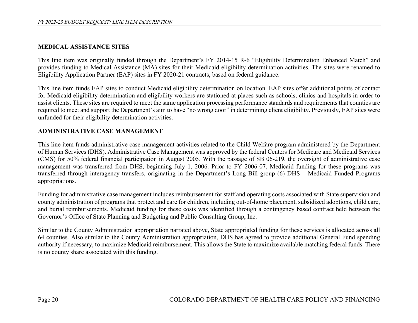#### **MEDICAL ASSISTANCE SITES**

This line item was originally funded through the Department's FY 2014-15 R-6 "Eligibility Determination Enhanced Match" and provides funding to Medical Assistance (MA) sites for their Medicaid eligibility determination activities. The sites were renamed to Eligibility Application Partner (EAP) sites in FY 2020-21 contracts, based on federal guidance.

This line item funds EAP sites to conduct Medicaid eligibility determination on location. EAP sites offer additional points of contact for Medicaid eligibility determination and eligibility workers are stationed at places such as schools, clinics and hospitals in order to assist clients. These sites are required to meet the same application processing performance standards and requirements that counties are required to meet and support the Department's aim to have "no wrong door" in determining client eligibility. Previously, EAP sites were unfunded for their eligibility determination activities.

## **ADMINISTRATIVE CASE MANAGEMENT**

This line item funds administrative case management activities related to the Child Welfare program administered by the Department of Human Services (DHS). Administrative Case Management was approved by the federal Centers for Medicare and Medicaid Services (CMS) for 50% federal financial participation in August 2005. With the passage of SB 06-219, the oversight of administrative case management was transferred from DHS, beginning July 1, 2006. Prior to FY 2006-07, Medicaid funding for these programs was transferred through interagency transfers, originating in the Department's Long Bill group (6) DHS – Medicaid Funded Programs appropriations.

Funding for administrative case management includes reimbursement for staff and operating costs associated with State supervision and county administration of programs that protect and care for children, including out-of-home placement, subsidized adoptions, child care, and burial reimbursements. Medicaid funding for these costs was identified through a contingency based contract held between the Governor's Office of State Planning and Budgeting and Public Consulting Group, Inc.

Similar to the County Administration appropriation narrated above, State appropriated funding for these services is allocated across all 64 counties. Also similar to the County Administration appropriation, DHS has agreed to provide additional General Fund spending authority if necessary, to maximize Medicaid reimbursement. This allows the State to maximize available matching federal funds. There is no county share associated with this funding.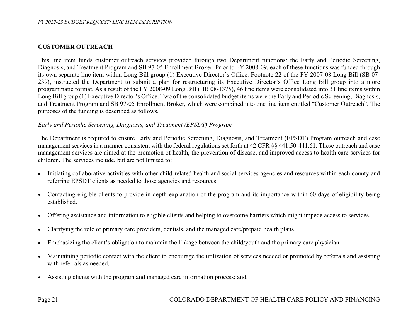#### **CUSTOMER OUTREACH**

This line item funds customer outreach services provided through two Department functions: the Early and Periodic Screening, Diagnosis, and Treatment Program and SB 97-05 Enrollment Broker. Prior to FY 2008-09, each of these functions was funded through its own separate line item within Long Bill group (1) Executive Director's Office. Footnote 22 of the FY 2007-08 Long Bill (SB 07- 239), instructed the Department to submit a plan for restructuring its Executive Director's Office Long Bill group into a more programmatic format. As a result of the FY 2008-09 Long Bill (HB 08-1375), 46 line items were consolidated into 31 line items within Long Bill group (1) Executive Director's Office. Two of the consolidated budget items were the Early and Periodic Screening, Diagnosis, and Treatment Program and SB 97-05 Enrollment Broker, which were combined into one line item entitled "Customer Outreach". The purposes of the funding is described as follows.

#### *Early and Periodic Screening, Diagnosis, and Treatment (EPSDT) Program*

The Department is required to ensure Early and Periodic Screening, Diagnosis, and Treatment (EPSDT) Program outreach and case management services in a manner consistent with the federal regulations set forth at 42 CFR §§ 441.50-441.61. These outreach and case management services are aimed at the promotion of health, the prevention of disease, and improved access to health care services for children. The services include, but are not limited to:

- Initiating collaborative activities with other child-related health and social services agencies and resources within each county and referring EPSDT clients as needed to those agencies and resources.
- Contacting eligible clients to provide in-depth explanation of the program and its importance within 60 days of eligibility being established.
- Offering assistance and information to eligible clients and helping to overcome barriers which might impede access to services.
- Clarifying the role of primary care providers, dentists, and the managed care/prepaid health plans.
- Emphasizing the client's obligation to maintain the linkage between the child/youth and the primary care physician.
- Maintaining periodic contact with the client to encourage the utilization of services needed or promoted by referrals and assisting with referrals as needed.
- Assisting clients with the program and managed care information process; and,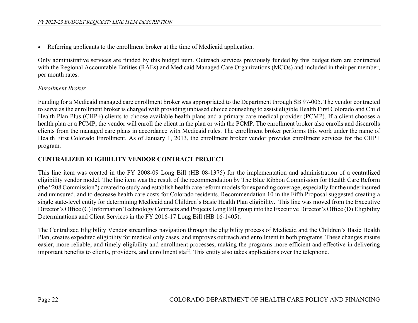• Referring applicants to the enrollment broker at the time of Medicaid application.

Only administrative services are funded by this budget item. Outreach services previously funded by this budget item are contracted with the Regional Accountable Entities (RAEs) and Medicaid Managed Care Organizations (MCOs) and included in their per member, per month rates.

#### *Enrollment Broker*

Funding for a Medicaid managed care enrollment broker was appropriated to the Department through SB 97-005. The vendor contracted to serve as the enrollment broker is charged with providing unbiased choice counseling to assist eligible Health First Colorado and Child Health Plan Plus (CHP+) clients to choose available health plans and a primary care medical provider (PCMP). If a client chooses a health plan or a PCMP, the vendor will enroll the client in the plan or with the PCMP. The enrollment broker also enrolls and disenrolls clients from the managed care plans in accordance with Medicaid rules. The enrollment broker performs this work under the name of Health First Colorado Enrollment. As of January 1, 2013, the enrollment broker vendor provides enrollment services for the CHP+ program.

### **CENTRALIZED ELIGIBILITY VENDOR CONTRACT PROJECT**

This line item was created in the FY 2008-09 Long Bill (HB 08-1375) for the implementation and administration of a centralized eligibility vendor model. The line item was the result of the recommendation by The Blue Ribbon Commission for Health Care Reform (the "208 Commission") created to study and establish health care reform models for expanding coverage, especially for the underinsured and uninsured, and to decrease health care costs for Colorado residents. Recommendation 10 in the Fifth Proposal suggested creating a single state-level entity for determining Medicaid and Children's Basic Health Plan eligibility. This line was moved from the Executive Director's Office (C) Information Technology Contracts and Projects Long Bill group into the Executive Director's Office (D) Eligibility Determinations and Client Services in the FY 2016-17 Long Bill (HB 16-1405).

The Centralized Eligibility Vendor streamlines navigation through the eligibility process of Medicaid and the Children's Basic Health Plan, creates expedited eligibility for medical only cases, and improves outreach and enrollment in both programs. These changes ensure easier, more reliable, and timely eligibility and enrollment processes, making the programs more efficient and effective in delivering important benefits to clients, providers, and enrollment staff. This entity also takes applications over the telephone.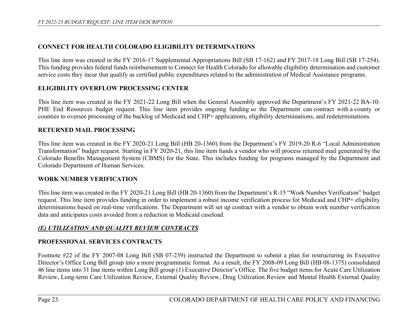# **CONNECT FOR HEALTH COLORADO ELIGIBILITY DETERMINATIONS**

This line item was created in the FY 2016-17 Supplemental Appropriations Bill (SB 17-162) and FY 2017-18 Long Bill (SB 17-254). This funding provides federal funds reimbursement to Connect for Health Colorado for allowable eligibility determination and customer service costs they incur that qualify as certified public expenditures related to the administration of Medical Assistance programs.

## **ELIGIBILITY OVERFLOW PROCESSING CENTER**

This line item was created in the FY 2021-22 Long Bill when the General Assembly approved the Department's FY 2021-22 BA-10: PHE End Resources budget request. This line item provides ongoing funding so the Department can contract with a county or counties to oversee processing of the backlog of Medicaid and CHP+ applications, eligibility determinations, and redeterminations.

## **RETURNED MAIL PROCESSING**

This line item was created in the FY 2020-21 Long Bill (HB 20-1360) from the Department's FY 2019-20 R-6 "Local Administration Transformation" budget request. Starting in FY 2020-21, this line item funds a vendor who will process returned mail generated by the Colorado Benefits Management System (CBMS) for the State. This includes funding for programs managed by the Department and Colorado Department of Human Services.

#### **WORK NUMBER VERIFICATION**

This line item was created in the FY 2020-21 Long Bill (HB 20-1360) from the Department's R-15 "Work Number Verification" budget request. This line item provides funding in order to implement a robust income verification process for Medicaid and CHP+ eligibility determinations based on real-time verifications. The Department will set up contract with a vendor to obtain work number verification data and anticipates costs avoided from a reduction in Medicaid caseload.

# *(E) UTILIZATION AND QUALITY REVIEW CONTRACTS*

# **PROFESSIONAL SERVICES CONTRACTS**

Footnote #22 of the FY 2007-08 Long Bill (SB 07-239) instructed the Department to submit a plan for restructuring its Executive Director's Office Long Bill group into a more programmatic format. As a result, the FY 2008-09 Long Bill (HB 08-1375) consolidated 46 line items into 31 line items within Long Bill group (1) Executive Director's Office. The five budget items for Acute Care Utilization Review, Long-term Care Utilization Review, External Quality Review, Drug Utilization Review and Mental Health External Quality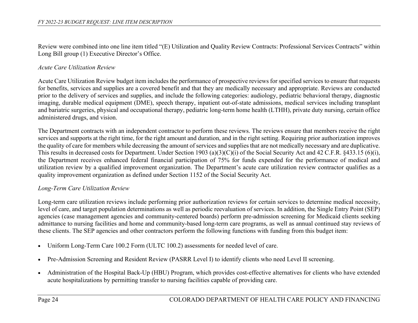Review were combined into one line item titled "(E) Utilization and Quality Review Contracts: Professional Services Contracts" within Long Bill group (1) Executive Director's Office.

#### *Acute Care Utilization Review*

Acute Care Utilization Review budget item includes the performance of prospective reviews for specified services to ensure that requests for benefits, services and supplies are a covered benefit and that they are medically necessary and appropriate. Reviews are conducted prior to the delivery of services and supplies, and include the following categories: audiology, pediatric behavioral therapy, diagnostic imaging, durable medical equipment (DME), speech therapy, inpatient out-of-state admissions, medical services including transplant and bariatric surgeries, physical and occupational therapy, pediatric long-term home health (LTHH), private duty nursing, certain office administered drugs, and vision.

The Department contracts with an independent contractor to perform these reviews. The reviews ensure that members receive the right services and supports at the right time, for the right amount and duration, and in the right setting. Requiring prior authorization improves the quality of care for members while decreasing the amount of services and supplies that are not medically necessary and are duplicative. This results in decreased costs for Department. Under Section 1903 (a)(3)(C)(i) of the Social Security Act and 42 C.F.R. §433.15 (6)(i), the Department receives enhanced federal financial participation of 75% for funds expended for the performance of medical and utilization review by a qualified improvement organization. The Department's acute care utilization review contractor qualifies as a quality improvement organization as defined under Section 1152 of the Social Security Act.

## *Long-Term Care Utilization Review*

Long-term care utilization reviews include performing prior authorization reviews for certain services to determine medical necessity, level of care, and target population determinations as well as periodic reevaluation of services. In addition, the Single Entry Point (SEP) agencies (case management agencies and community-centered boards) perform pre-admission screening for Medicaid clients seeking admittance to nursing facilities and home and community-based long-term care programs, as well as annual continued stay reviews of these clients. The SEP agencies and other contractors perform the following functions with funding from this budget item:

- Uniform Long-Term Care 100.2 Form (ULTC 100.2) assessments for needed level of care.
- Pre-Admission Screening and Resident Review (PASRR Level I) to identify clients who need Level II screening.
- Administration of the Hospital Back-Up (HBU) Program, which provides cost-effective alternatives for clients who have extended acute hospitalizations by permitting transfer to nursing facilities capable of providing care.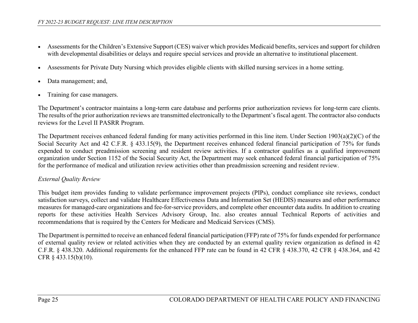- Assessments for the Children's Extensive Support (CES) waiver which provides Medicaid benefits, services and support for children with developmental disabilities or delays and require special services and provide an alternative to institutional placement.
- Assessments for Private Duty Nursing which provides eligible clients with skilled nursing services in a home setting.
- Data management; and,
- Training for case managers.

The Department's contractor maintains a long-term care database and performs prior authorization reviews for long-term care clients. The results of the prior authorization reviews are transmitted electronically to the Department's fiscal agent. The contractor also conducts reviews for the Level II PASRR Program.

The Department receives enhanced federal funding for many activities performed in this line item. Under Section 1903(a)(2)(C) of the Social Security Act and 42 C.F.R. § 433.15(9), the Department receives enhanced federal financial participation of 75% for funds expended to conduct preadmission screening and resident review activities. If a contractor qualifies as a qualified improvement organization under Section 1152 of the Social Security Act, the Department may seek enhanced federal financial participation of 75% for the performance of medical and utilization review activities other than preadmission screening and resident review.

#### *External Quality Review*

This budget item provides funding to validate performance improvement projects (PIPs), conduct compliance site reviews, conduct satisfaction surveys, collect and validate Healthcare Effectiveness Data and Information Set (HEDIS) measures and other performance measures for managed-care organizations and fee-for-service providers, and complete other encounter data audits. In addition to creating reports for these activities Health Services Advisory Group, Inc. also creates annual Technical Reports of activities and recommendations that is required by the Centers for Medicare and Medicaid Services (CMS).

The Department is permitted to receive an enhanced federal financial participation (FFP) rate of 75% for funds expended for performance of external quality review or related activities when they are conducted by an external quality review organization as defined in 42 C.F.R. § 438.320. Additional requirements for the enhanced FFP rate can be found in 42 CFR § 438.370, 42 CFR § 438.364, and 42 CFR § 433.15(b)(10).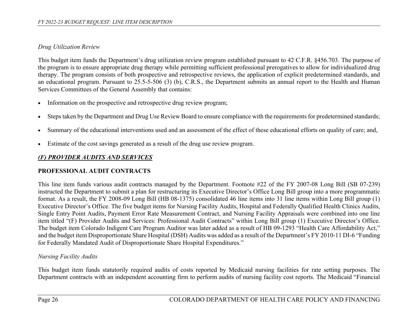# *Drug Utilization Review*

This budget item funds the Department's drug utilization review program established pursuant to 42 C.F.R. §456.703. The purpose of the program is to ensure appropriate drug therapy while permitting sufficient professional prerogatives to allow for individualized drug therapy. The program consists of both prospective and retrospective reviews, the application of explicit predetermined standards, and an educational program. Pursuant to 25.5-5-506 (3) (b), C.R.S., the Department submits an annual report to the Health and Human Services Committees of the General Assembly that contains:

- Information on the prospective and retrospective drug review program;
- Steps taken by the Department and Drug Use Review Board to ensure compliance with the requirements for predetermined standards;
- Summary of the educational interventions used and an assessment of the effect of these educational efforts on quality of care; and,
- Estimate of the cost savings generated as a result of the drug use review program.

# *(F) PROVIDER AUDITS AND SERVICES*

# **PROFESSIONAL AUDIT CONTRACTS**

This line item funds various audit contracts managed by the Department. Footnote #22 of the FY 2007-08 Long Bill (SB 07-239) instructed the Department to submit a plan for restructuring its Executive Director's Office Long Bill group into a more programmatic format. As a result, the FY 2008-09 Long Bill (HB 08-1375) consolidated 46 line items into 31 line items within Long Bill group (1) Executive Director's Office. The five budget items for Nursing Facility Audits, Hospital and Federally Qualified Health Clinics Audits, Single Entry Point Audits, Payment Error Rate Measurement Contract, and Nursing Facility Appraisals were combined into one line item titled "(F) Provider Audits and Services: Professional Audit Contracts" within Long Bill group (1) Executive Director's Office. The budget item Colorado Indigent Care Program Auditor was later added as a result of HB 09-1293 "Health Care Affordability Act," and the budget item Disproportionate Share Hospital (DSH) Audits was added as a result of the Department's FY 2010-11 DI-6 "Funding for Federally Mandated Audit of Disproportionate Share Hospital Expenditures."

# *Nursing Facility Audits*

This budget item funds statutorily required audits of costs reported by Medicaid nursing facilities for rate setting purposes. The Department contracts with an independent accounting firm to perform audits of nursing facility cost reports. The Medicaid "Financial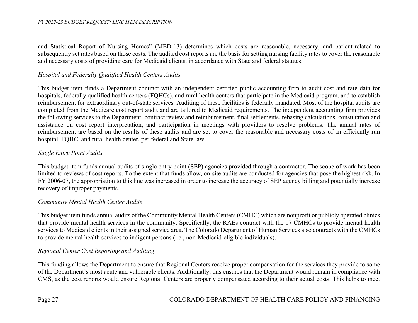and Statistical Report of Nursing Homes" (MED-13) determines which costs are reasonable, necessary, and patient-related to subsequently set rates based on those costs. The audited cost reports are the basis for setting nursing facility rates to cover the reasonable and necessary costs of providing care for Medicaid clients, in accordance with State and federal statutes.

### *Hospital and Federally Qualified Health Centers Audits*

This budget item funds a Department contract with an independent certified public accounting firm to audit cost and rate data for hospitals, federally qualified health centers (FQHCs), and rural health centers that participate in the Medicaid program, and to establish reimbursement for extraordinary out-of-state services. Auditing of these facilities is federally mandated. Most of the hospital audits are completed from the Medicare cost report audit and are tailored to Medicaid requirements. The independent accounting firm provides the following services to the Department: contract review and reimbursement, final settlements, rebasing calculations, consultation and assistance on cost report interpretation, and participation in meetings with providers to resolve problems. The annual rates of reimbursement are based on the results of these audits and are set to cover the reasonable and necessary costs of an efficiently run hospital, FQHC, and rural health center, per federal and State law.

### *Single Entry Point Audits*

This budget item funds annual audits of single entry point (SEP) agencies provided through a contractor. The scope of work has been limited to reviews of cost reports. To the extent that funds allow, on-site audits are conducted for agencies that pose the highest risk. In FY 2006-07, the appropriation to this line was increased in order to increase the accuracy of SEP agency billing and potentially increase recovery of improper payments.

#### *Community Mental Health Center Audits*

This budget item funds annual audits of the Community Mental Health Centers (CMHC) which are nonprofit or publicly operated clinics that provide mental health services in the community. Specifically, the RAEs contract with the 17 CMHCs to provide mental health services to Medicaid clients in their assigned service area. The Colorado Department of Human Services also contracts with the CMHCs to provide mental health services to indigent persons (i.e., non-Medicaid-eligible individuals).

#### *Regional Center Cost Reporting and Auditing*

This funding allows the Department to ensure that Regional Centers receive proper compensation for the services they provide to some of the Department's most acute and vulnerable clients. Additionally, this ensures that the Department would remain in compliance with CMS, as the cost reports would ensure Regional Centers are properly compensated according to their actual costs. This helps to meet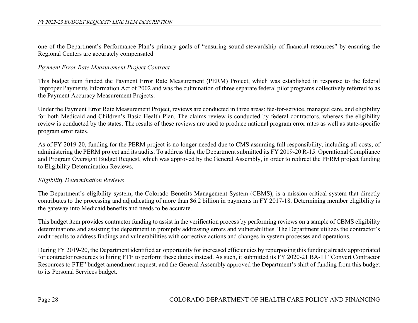one of the Department's Performance Plan's primary goals of "ensuring sound stewardship of financial resources" by ensuring the Regional Centers are accurately compensated

#### *Payment Error Rate Measurement Project Contract*

This budget item funded the Payment Error Rate Measurement (PERM) Project, which was established in response to the federal Improper Payments Information Act of 2002 and was the culmination of three separate federal pilot programs collectively referred to as the Payment Accuracy Measurement Projects.

Under the Payment Error Rate Measurement Project, reviews are conducted in three areas: fee-for-service, managed care, and eligibility for both Medicaid and Children's Basic Health Plan. The claims review is conducted by federal contractors, whereas the eligibility review is conducted by the states. The results of these reviews are used to produce national program error rates as well as state-specific program error rates.

As of FY 2019-20, funding for the PERM project is no longer needed due to CMS assuming full responsibility, including all costs, of administering the PERM project and its audits. To address this, the Department submitted its FY 2019-20 R-15: Operational Compliance and Program Oversight Budget Request, which was approved by the General Assembly, in order to redirect the PERM project funding to Eligibility Determination Reviews.

#### *Eligibility Determination Reviews*

The Department's eligibility system, the Colorado Benefits Management System (CBMS), is a mission-critical system that directly contributes to the processing and adjudicating of more than \$6.2 billion in payments in FY 2017-18. Determining member eligibility is the gateway into Medicaid benefits and needs to be accurate.

This budget item provides contractor funding to assist in the verification process by performing reviews on a sample of CBMS eligibility determinations and assisting the department in promptly addressing errors and vulnerabilities. The Department utilizes the contractor's audit results to address findings and vulnerabilities with corrective actions and changes in system processes and operations.

During FY 2019-20, the Department identified an opportunity for increased efficiencies by repurposing this funding already appropriated for contractor resources to hiring FTE to perform these duties instead. As such, it submitted its FY 2020-21 BA-11 "Convert Contractor Resources to FTE" budget amendment request, and the General Assembly approved the Department's shift of funding from this budget to its Personal Services budget.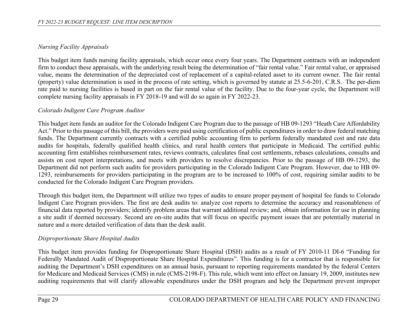# *Nursing Facility Appraisals*

This budget item funds nursing facility appraisals, which occur once every four years. The Department contracts with an independent firm to conduct these appraisals, with the underlying result being the determination of "fair rental value." Fair rental value, or appraised value, means the determination of the depreciated cost of replacement of a capital-related asset to its current owner. The fair rental (property) value determination is used in the process of rate setting, which is governed by statute at 25.5-6-201, C.R.S. The per-diem rate paid to nursing facilities is based in part on the fair rental value of the facility. Due to the four-year cycle, the Department will complete nursing facility appraisals in FY 2018-19 and will do so again in FY 2022-23.

# *Colorado Indigent Care Program Auditor*

This budget item funds an auditor for the Colorado Indigent Care Program due to the passage of HB 09-1293 "Heath Care Affordability Act." Prior to this passage of this bill, the providers were paid using certification of public expenditures in order to draw federal matching funds. The Department currently contracts with a certified public accounting firm to perform federally mandated cost and rate data audits for hospitals, federally qualified health clinics, and rural health centers that participate in Medicaid. The certified public accounting firm establishes reimbursement rates, reviews contracts, calculates final cost settlements, rebases calculations, consults and assists on cost report interpretations, and meets with providers to resolve discrepancies. Prior to the passage of HB 09-1293, the Department did not perform such audits for providers participating in the Colorado Indigent Care Program. However, due to HB 09- 1293, reimbursements for providers participating in the program are to be increased to 100% of cost, requiring similar audits to be conducted for the Colorado Indigent Care Program providers.

Through this budget item, the Department will utilize two types of audits to ensure proper payment of hospital fee funds to Colorado Indigent Care Program providers. The first are desk audits to: analyze cost reports to determine the accuracy and reasonableness of financial data reported by providers; identify problem areas that warrant additional review; and, obtain information for use in planning a site audit if deemed necessary. Second are on-site audits that will focus on specific payment issues that are potentially material in nature and a more detailed verification of data than the desk audit.

## *Disproportionate Share Hospital Audits*

This budget item provides funding for Disproportionate Share Hospital (DSH) audits as a result of FY 2010-11 DI-6 "Funding for Federally Mandated Audit of Disproportionate Share Hospital Expenditures". This funding is for a contractor that is responsible for auditing the Department's DSH expenditures on an annual basis, pursuant to reporting requirements mandated by the federal Centers for Medicare and Medicaid Services (CMS) in rule (CMS-2198-F). This rule, which went into effect on January 19, 2009, institutes new auditing requirements that will clarify allowable expenditures under the DSH program and help the Department prevent improper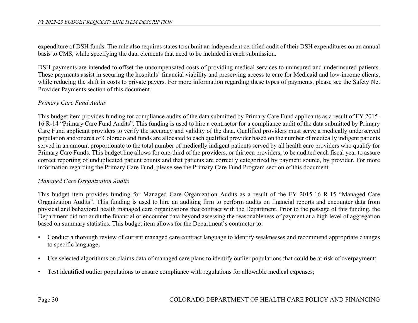expenditure of DSH funds. The rule also requires states to submit an independent certified audit of their DSH expenditures on an annual basis to CMS, while specifying the data elements that need to be included in each submission.

DSH payments are intended to offset the uncompensated costs of providing medical services to uninsured and underinsured patients. These payments assist in securing the hospitals' financial viability and preserving access to care for Medicaid and low-income clients, while reducing the shift in costs to private payers. For more information regarding these types of payments, please see the Safety Net Provider Payments section of this document.

#### *Primary Care Fund Audits*

This budget item provides funding for compliance audits of the data submitted by Primary Care Fund applicants as a result of FY 2015- 16 R-14 "Primary Care Fund Audits". This funding is used to hire a contractor for a compliance audit of the data submitted by Primary Care Fund applicant providers to verify the accuracy and validity of the data. Qualified providers must serve a medically underserved population and/or area of Colorado and funds are allocated to each qualified provider based on the number of medically indigent patients served in an amount proportionate to the total number of medically indigent patients served by all health care providers who qualify for Primary Care Funds. This budget line allows for one-third of the providers, or thirteen providers, to be audited each fiscal year to assure correct reporting of unduplicated patient counts and that patients are correctly categorized by payment source, by provider. For more information regarding the Primary Care Fund, please see the Primary Care Fund Program section of this document.

#### *Managed Care Organization Audits*

This budget item provides funding for Managed Care Organization Audits as a result of the FY 2015-16 R-15 "Managed Care Organization Audits". This funding is used to hire an auditing firm to perform audits on financial reports and encounter data from physical and behavioral health managed care organizations that contract with the Department. Prior to the passage of this funding, the Department did not audit the financial or encounter data beyond assessing the reasonableness of payment at a high level of aggregation based on summary statistics. This budget item allows for the Department's contractor to:

- Conduct a thorough review of current managed care contract language to identify weaknesses and recommend appropriate changes to specific language;
- Use selected algorithms on claims data of managed care plans to identify outlier populations that could be at risk of overpayment;
- Test identified outlier populations to ensure compliance with regulations for allowable medical expenses;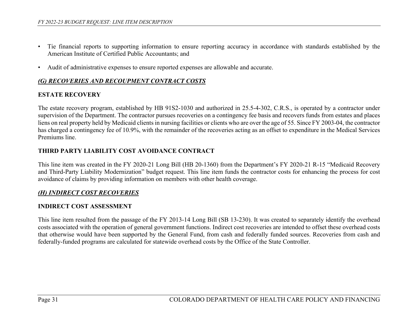- Tie financial reports to supporting information to ensure reporting accuracy in accordance with standards established by the American Institute of Certified Public Accountants; and
- Audit of administrative expenses to ensure reported expenses are allowable and accurate.

## *(G) RECOVERIES AND RECOUPMENT CONTRACT COSTS*

## **ESTATE RECOVERY**

The estate recovery program, established by HB 91S2-1030 and authorized in 25.5-4-302, C.R.S., is operated by a contractor under supervision of the Department. The contractor pursues recoveries on a contingency fee basis and recovers funds from estates and places liens on real property held by Medicaid clients in nursing facilities or clients who are over the age of 55. Since FY 2003-04, the contractor has charged a contingency fee of 10.9%, with the remainder of the recoveries acting as an offset to expenditure in the Medical Services Premiums line.

## **THIRD PARTY LIABILITY COST AVOIDANCE CONTRACT**

This line item was created in the FY 2020-21 Long Bill (HB 20-1360) from the Department's FY 2020-21 R-15 "Medicaid Recovery and Third-Party Liability Modernization" budget request. This line item funds the contractor costs for enhancing the process for cost avoidance of claims by providing information on members with other health coverage.

## *(H) INDIRECT COST RECOVERIES*

#### **INDIRECT COST ASSESSMENT**

This line item resulted from the passage of the FY 2013-14 Long Bill (SB 13-230). It was created to separately identify the overhead costs associated with the operation of general government functions. Indirect cost recoveries are intended to offset these overhead costs that otherwise would have been supported by the General Fund, from cash and federally funded sources. Recoveries from cash and federally-funded programs are calculated for statewide overhead costs by the Office of the State Controller.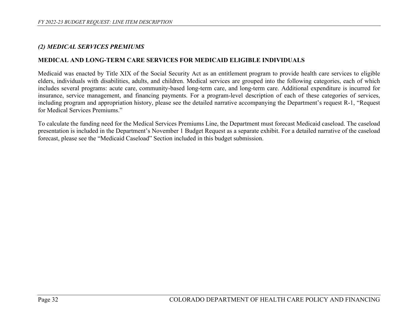#### *(2) MEDICAL SERVICES PREMIUMS*

#### **MEDICAL AND LONG-TERM CARE SERVICES FOR MEDICAID ELIGIBLE INDIVIDUALS**

Medicaid was enacted by Title XIX of the Social Security Act as an entitlement program to provide health care services to eligible elders, individuals with disabilities, adults, and children. Medical services are grouped into the following categories, each of which includes several programs: acute care, community-based long-term care, and long-term care. Additional expenditure is incurred for insurance, service management, and financing payments. For a program-level description of each of these categories of services, including program and appropriation history, please see the detailed narrative accompanying the Department's request R-1, "Request for Medical Services Premiums."

To calculate the funding need for the Medical Services Premiums Line, the Department must forecast Medicaid caseload. The caseload presentation is included in the Department's November 1 Budget Request as a separate exhibit. For a detailed narrative of the caseload forecast, please see the "Medicaid Caseload" Section included in this budget submission.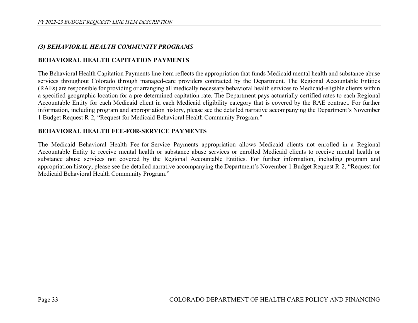## *(3) BEHAVIORAL HEALTH COMMUNITY PROGRAMS*

## **BEHAVIORAL HEALTH CAPITATION PAYMENTS**

The Behavioral Health Capitation Payments line item reflects the appropriation that funds Medicaid mental health and substance abuse services throughout Colorado through managed-care providers contracted by the Department. The Regional Accountable Entities (RAEs) are responsible for providing or arranging all medically necessary behavioral health services to Medicaid-eligible clients within a specified geographic location for a pre-determined capitation rate. The Department pays actuarially certified rates to each Regional Accountable Entity for each Medicaid client in each Medicaid eligibility category that is covered by the RAE contract. For further information, including program and appropriation history, please see the detailed narrative accompanying the Department's November 1 Budget Request R-2, "Request for Medicaid Behavioral Health Community Program."

### **BEHAVIORAL HEALTH FEE-FOR-SERVICE PAYMENTS**

The Medicaid Behavioral Health Fee-for-Service Payments appropriation allows Medicaid clients not enrolled in a Regional Accountable Entity to receive mental health or substance abuse services or enrolled Medicaid clients to receive mental health or substance abuse services not covered by the Regional Accountable Entities. For further information, including program and appropriation history, please see the detailed narrative accompanying the Department's November 1 Budget Request R-2, "Request for Medicaid Behavioral Health Community Program."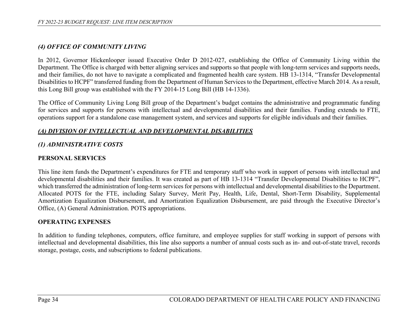## *(4) OFFICE OF COMMUNITY LIVING*

In 2012, Governor Hickenlooper issued Executive Order D 2012-027, establishing the Office of Community Living within the Department. The Office is charged with better aligning services and supports so that people with long-term services and supports needs, and their families, do not have to navigate a complicated and fragmented health care system. HB 13-1314, "Transfer Developmental Disabilities to HCPF" transferred funding from the Department of Human Services to the Department, effective March 2014. As a result, this Long Bill group was established with the FY 2014-15 Long Bill (HB 14-1336).

The Office of Community Living Long Bill group of the Department's budget contains the administrative and programmatic funding for services and supports for persons with intellectual and developmental disabilities and their families. Funding extends to FTE, operations support for a standalone case management system, and services and supports for eligible individuals and their families.

#### *(A) DIVISION OF INTELLECTUAL AND DEVELOPMENTAL DISABILITIES*

### *(1) ADMINISTRATIVE COSTS*

#### **PERSONAL SERVICES**

This line item funds the Department's expenditures for FTE and temporary staff who work in support of persons with intellectual and developmental disabilities and their families. It was created as part of HB 13-1314 "Transfer Developmental Disabilities to HCPF", which transferred the administration of long-term services for persons with intellectual and developmental disabilities to the Department. Allocated POTS for the FTE, including Salary Survey, Merit Pay, Health, Life, Dental, Short-Term Disability, Supplemental Amortization Equalization Disbursement, and Amortization Equalization Disbursement, are paid through the Executive Director's Office, (A) General Administration. POTS appropriations.

#### **OPERATING EXPENSES**

In addition to funding telephones, computers, office furniture, and employee supplies for staff working in support of persons with intellectual and developmental disabilities, this line also supports a number of annual costs such as in- and out-of-state travel, records storage, postage, costs, and subscriptions to federal publications.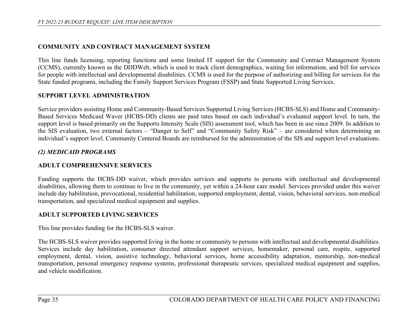## **COMMUNITY AND CONTRACT MANAGEMENT SYSTEM**

This line funds licensing, reporting functions and some limited IT support for the Community and Contract Management System (CCMS), currently known as the DDDWeb, which is used to track client demographics, waiting list information, and bill for services for people with intellectual and developmental disabilities. CCMS is used for the purpose of authorizing and billing for services for the State funded programs, including the Family Support Services Program (FSSP) and State Supported Living Services.

### **SUPPORT LEVEL ADMINISTRATION**

Service providers assisting Home and Community-Based Services Supported Living Services (HCBS-SLS) and Home and Community-Based Services Medicaid Waver (HCBS-DD) clients are paid rates based on each individual's evaluated support level. In turn, the support level is based primarily on the Supports Intensity Scale (SIS) assessment tool, which has been in use since 2009. In addition to the SIS evaluation, two external factors – "Danger to Self" and "Community Safety Risk" – are considered when determining an individual's support level. Community Centered Boards are reimbursed for the administration of the SIS and support level evaluations.

# *(2) MEDICAID PROGRAMS*

## **ADULT COMPREHENSIVE SERVICES**

Funding supports the HCBS-DD waiver, which provides services and supports to persons with intellectual and developmental disabilities, allowing them to continue to live in the community, yet within a 24-hour care model. Services provided under this waiver include day habilitation, prevocational, residential habilitation, supported employment, dental, vision, behavioral services, non-medical transportation, and specialized medical equipment and supplies.

## **ADULT SUPPORTED LIVING SERVICES**

This line provides funding for the HCBS-SLS waiver.

The HCBS-SLS waiver provides supported living in the home or community to persons with intellectual and developmental disabilities. Services include day habilitation, consumer directed attendant support services, homemaker, personal care, respite, supported employment, dental, vision, assistive technology, behavioral services, home accessibility adaptation, mentorship, non-medical transportation, personal emergency response systems, professional therapeutic services, specialized medical equipment and supplies, and vehicle modification.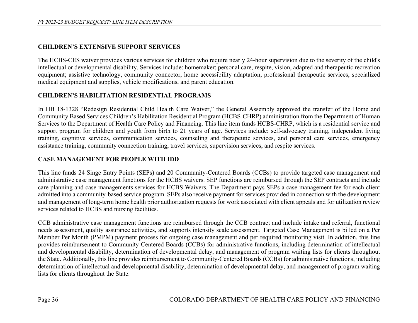# **CHILDREN'S EXTENSIVE SUPPORT SERVICES**

The HCBS-CES waiver provides various services for children who require nearly 24-hour supervision due to the severity of the child's intellectual or developmental disability. Services include: homemaker; personal care, respite, vision, adapted and therapeutic recreation equipment; assistive technology, community connector, home accessibility adaptation, professional therapeutic services, specialized medical equipment and supplies, vehicle modifications, and parent education.

# **CHILDREN'S HABILITATION RESIDENTIAL PROGRAMS**

In HB 18-1328 "Redesign Residential Child Health Care Waiver," the General Assembly approved the transfer of the Home and Community Based Services Children's Habilitation Residential Program (HCBS-CHRP) administration from the Department of Human Services to the Department of Health Care Policy and Financing. This line item funds HCBS-CHRP, which is a residential service and support program for children and youth from birth to 21 years of age. Services include: self-advocacy training, independent living training, cognitive services, communication services, counseling and therapeutic services, and personal care services, emergency assistance training, community connection training, travel services, supervision services, and respite services.

# **CASE MANAGEMENT FOR PEOPLE WITH IDD**

This line funds 24 Singe Entry Points (SEPs) and 20 Community-Centered Boards (CCBs) to provide targeted case management and administrative case management functions for the HCBS waivers. SEP functions are reimbursed through the SEP contracts and include care planning and case managements services for HCBS Waivers. The Department pays SEPs a case-management fee for each client admitted into a community-based service program. SEPs also receive payment for services provided in connection with the development and management of long-term home health prior authorization requests for work associated with client appeals and for utilization review services related to HCBS and nursing facilities.

CCB administrative case management functions are reimbursed through the CCB contract and include intake and referral, functional needs assessment, quality assurance activities, and supports intensity scale assessment. Targeted Case Management is billed on a Per Member Per Month (PMPM) payment process for ongoing case management and per required monitoring visit. In addition, this line provides reimbursement to Community-Centered Boards (CCBs) for administrative functions, including determination of intellectual and developmental disability, determination of developmental delay, and management of program waiting lists for clients throughout the State. Additionally, this line provides reimbursement to Community-Centered Boards (CCBs) for administrative functions, including determination of intellectual and developmental disability, determination of developmental delay, and management of program waiting lists for clients throughout the State.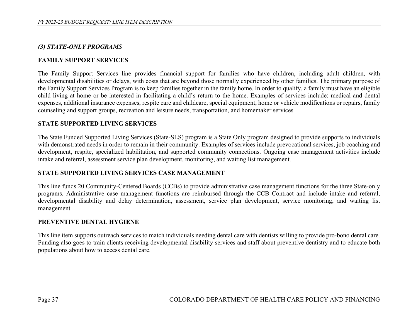### *(3) STATE-ONLY PROGRAMS*

#### **FAMILY SUPPORT SERVICES**

The Family Support Services line provides financial support for families who have children, including adult children, with developmental disabilities or delays, with costs that are beyond those normally experienced by other families. The primary purpose of the Family Support Services Program is to keep families together in the family home. In order to qualify, a family must have an eligible child living at home or be interested in facilitating a child's return to the home. Examples of services include: medical and dental expenses, additional insurance expenses, respite care and childcare, special equipment, home or vehicle modifications or repairs, family counseling and support groups, recreation and leisure needs, transportation, and homemaker services.

#### **STATE SUPPORTED LIVING SERVICES**

The State Funded Supported Living Services (State-SLS) program is a State Only program designed to provide supports to individuals with demonstrated needs in order to remain in their community. Examples of services include prevocational services, job coaching and development, respite, specialized habilitation, and supported community connections. Ongoing case management activities include intake and referral, assessment service plan development, monitoring, and waiting list management.

#### **STATE SUPPORTED LIVING SERVICES CASE MANAGEMENT**

This line funds 20 Community-Centered Boards (CCBs) to provide administrative case management functions for the three State-only programs. Administrative case management functions are reimbursed through the CCB Contract and include intake and referral, developmental disability and delay determination, assessment, service plan development, service monitoring, and waiting list management.

#### **PREVENTIVE DENTAL HYGIENE**

This line item supports outreach services to match individuals needing dental care with dentists willing to provide pro-bono dental care. Funding also goes to train clients receiving developmental disability services and staff about preventive dentistry and to educate both populations about how to access dental care.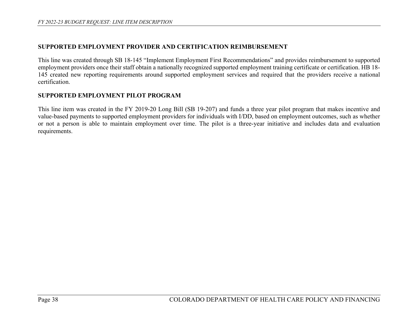#### **SUPPORTED EMPLOYMENT PROVIDER AND CERTIFICATION REIMBURSEMENT**

This line was created through SB 18-145 "Implement Employment First Recommendations" and provides reimbursement to supported employment providers once their staff obtain a nationally recognized supported employment training certificate or certification. HB 18- 145 created new reporting requirements around supported employment services and required that the providers receive a national certification.

#### **SUPPORTED EMPLOYMENT PILOT PROGRAM**

This line item was created in the FY 2019-20 Long Bill (SB 19-207) and funds a three year pilot program that makes incentive and value-based payments to supported employment providers for individuals with I/DD, based on employment outcomes, such as whether or not a person is able to maintain employment over time. The pilot is a three-year initiative and includes data and evaluation requirements.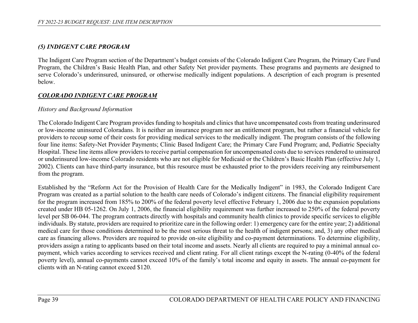# *(5) INDIGENT CARE PROGRAM*

The Indigent Care Program section of the Department's budget consists of the Colorado Indigent Care Program, the Primary Care Fund Program, the Children's Basic Health Plan, and other Safety Net provider payments. These programs and payments are designed to serve Colorado's underinsured, uninsured, or otherwise medically indigent populations. A description of each program is presented below.

# *COLORADO INDIGENT CARE PROGRAM*

### *History and Background Information*

The Colorado Indigent Care Program provides funding to hospitals and clinics that have uncompensated costs from treating underinsured or low-income uninsured Coloradans. It is neither an insurance program nor an entitlement program, but rather a financial vehicle for providers to recoup some of their costs for providing medical services to the medically indigent. The program consists of the following four line items: Safety-Net Provider Payments; Clinic Based Indigent Care; the Primary Care Fund Program; and, Pediatric Specialty Hospital. These line items allow providers to receive partial compensation for uncompensated costs due to services rendered to uninsured or underinsured low-income Colorado residents who are not eligible for Medicaid or the Children's Basic Health Plan (effective July 1, 2002). Clients can have third-party insurance, but this resource must be exhausted prior to the providers receiving any reimbursement from the program.

Established by the "Reform Act for the Provision of Health Care for the Medically Indigent" in 1983, the Colorado Indigent Care Program was created as a partial solution to the health care needs of Colorado's indigent citizens. The financial eligibility requirement for the program increased from 185% to 200% of the federal poverty level effective February 1, 2006 due to the expansion populations created under HB 05-1262. On July 1, 2006, the financial eligibility requirement was further increased to 250% of the federal poverty level per SB 06-044. The program contracts directly with hospitals and community health clinics to provide specific services to eligible individuals. By statute, providers are required to prioritize care in the following order: 1) emergency care for the entire year; 2) additional medical care for those conditions determined to be the most serious threat to the health of indigent persons; and, 3) any other medical care as financing allows. Providers are required to provide on-site eligibility and co-payment determinations. To determine eligibility, providers assign a rating to applicants based on their total income and assets. Nearly all clients are required to pay a minimal annual copayment, which varies according to services received and client rating. For all client ratings except the N-rating (0-40% of the federal poverty level), annual co-payments cannot exceed 10% of the family's total income and equity in assets. The annual co-payment for clients with an N-rating cannot exceed \$120.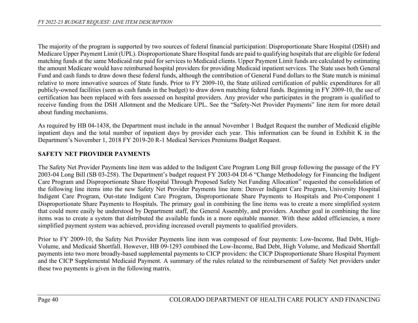The majority of the program is supported by two sources of federal financial participation: Disproportionate Share Hospital (DSH) and Medicare Upper Payment Limit (UPL). Disproportionate Share Hospital funds are paid to qualifying hospitals that are eligible for federal matching funds at the same Medicaid rate paid for services to Medicaid clients. Upper Payment Limit funds are calculated by estimating the amount Medicare would have reimbursed hospital providers for providing Medicaid inpatient services. The State uses both General Fund and cash funds to draw down these federal funds, although the contribution of General Fund dollars to the State match is minimal relative to more innovative sources of State funds. Prior to FY 2009-10, the State utilized certification of public expenditures for all publicly-owned facilities (seen as cash funds in the budget) to draw down matching federal funds. Beginning in FY 2009-10, the use of certification has been replaced with fees assessed on hospital providers. Any provider who participates in the program is qualified to receive funding from the DSH Allotment and the Medicare UPL. See the "Safety-Net Provider Payments" line item for more detail about funding mechanisms.

As required by HB 04-1438, the Department must include in the annual November 1 Budget Request the number of Medicaid eligible inpatient days and the total number of inpatient days by provider each year. This information can be found in Exhibit K in the Department's November 1, 2018 FY 2019-20 R-1 Medical Services Premiums Budget Request.

# **SAFETY NET PROVIDER PAYMENTS**

The Safety Net Provider Payments line item was added to the Indigent Care Program Long Bill group following the passage of the FY 2003-04 Long Bill (SB 03-258). The Department's budget request FY 2003-04 DI-6 "Change Methodology for Financing the Indigent Care Program and Disproportionate Share Hospital Through Proposed Safety Net Funding Allocation" requested the consolidation of the following line items into the new Safety Net Provider Payments line item: Denver Indigent Care Program, University Hospital Indigent Care Program, Out-state Indigent Care Program, Disproportionate Share Payments to Hospitals and Pre-Component 1 Disproportionate Share Payments to Hospitals. The primary goal in combining the line items was to create a more simplified system that could more easily be understood by Department staff, the General Assembly, and providers. Another goal in combining the line items was to create a system that distributed the available funds in a more equitable manner. With these added efficiencies, a more simplified payment system was achieved, providing increased overall payments to qualified providers.

Prior to FY 2009-10, the Safety Net Provider Payments line item was composed of four payments: Low-Income, Bad Debt, High-Volume, and Medicaid Shortfall. However, HB 09-1293 combined the Low-Income, Bad Debt, High Volume, and Medicaid Shortfall payments into two more broadly-based supplemental payments to CICP providers: the CICP Disproportionate Share Hospital Payment and the CICP Supplemental Medicaid Payment. A summary of the rules related to the reimbursement of Safety Net providers under these two payments is given in the following matrix.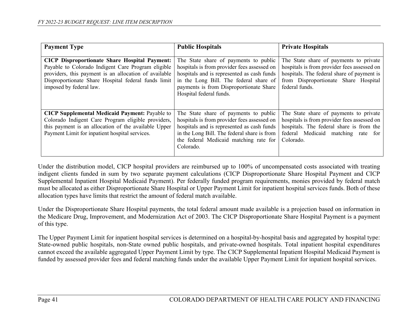| <b>Payment Type</b>                                                                                                                                                                                                                                   | <b>Public Hospitals</b>                                                                                                                                                                                                                            | <b>Private Hospitals</b>                                                                                                                                                                      |
|-------------------------------------------------------------------------------------------------------------------------------------------------------------------------------------------------------------------------------------------------------|----------------------------------------------------------------------------------------------------------------------------------------------------------------------------------------------------------------------------------------------------|-----------------------------------------------------------------------------------------------------------------------------------------------------------------------------------------------|
| <b>CICP Disproportionate Share Hospital Payment:</b><br>Payable to Colorado Indigent Care Program eligible<br>providers, this payment is an allocation of available<br>Disproportionate Share Hospital federal funds limit<br>imposed by federal law. | The State share of payments to public<br>hospitals is from provider fees assessed on<br>hospitals and is represented as cash funds<br>in the Long Bill. The federal share of<br>payments is from Disproportionate Share<br>Hospital federal funds. | The State share of payments to private<br>hospitals is from provider fees assessed on<br>hospitals. The federal share of payment is<br>from Disproportionate Share Hospital<br>federal funds. |
| <b>CICP Supplemental Medicaid Payment: Payable to</b><br>Colorado Indigent Care Program eligible providers,<br>this payment is an allocation of the available Upper<br>Payment Limit for inpatient hospital services.                                 | The State share of payments to public<br>hospitals is from provider fees assessed on<br>hospitals and is represented as cash funds<br>in the Long Bill. The federal share is from<br>the federal Medicaid matching rate for<br>Colorado.           | The State share of payments to private<br>hospitals is from provider fees assessed on<br>hospitals. The federal share is from the<br>federal Medicaid matching rate for<br>Colorado.          |

Under the distribution model, CICP hospital providers are reimbursed up to 100% of uncompensated costs associated with treating indigent clients funded in sum by two separate payment calculations (CICP Disproportionate Share Hospital Payment and CICP Supplemental Inpatient Hospital Medicaid Payment). Per federally funded program requirements, monies provided by federal match must be allocated as either Disproportionate Share Hospital or Upper Payment Limit for inpatient hospital services funds. Both of these allocation types have limits that restrict the amount of federal match available.

Under the Disproportionate Share Hospital payments, the total federal amount made available is a projection based on information in the Medicare Drug, Improvement, and Modernization Act of 2003. The CICP Disproportionate Share Hospital Payment is a payment of this type.

The Upper Payment Limit for inpatient hospital services is determined on a hospital-by-hospital basis and aggregated by hospital type: State-owned public hospitals, non-State owned public hospitals, and private-owned hospitals. Total inpatient hospital expenditures cannot exceed the available aggregated Upper Payment Limit by type. The CICP Supplemental Inpatient Hospital Medicaid Payment is funded by assessed provider fees and federal matching funds under the available Upper Payment Limit for inpatient hospital services.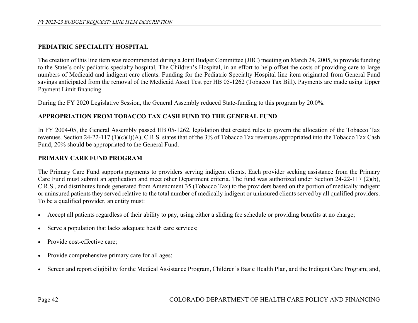### **PEDIATRIC SPECIALITY HOSPITAL**

The creation of this line item was recommended during a Joint Budget Committee (JBC) meeting on March 24, 2005, to provide funding to the State's only pediatric specialty hospital, The Children's Hospital, in an effort to help offset the costs of providing care to large numbers of Medicaid and indigent care clients. Funding for the Pediatric Specialty Hospital line item originated from General Fund savings anticipated from the removal of the Medicaid Asset Test per HB 05-1262 (Tobacco Tax Bill). Payments are made using Upper Payment Limit financing.

During the FY 2020 Legislative Session, the General Assembly reduced State-funding to this program by 20.0%.

### **APPROPRIATION FROM TOBACCO TAX CASH FUND TO THE GENERAL FUND**

In FY 2004-05, the General Assembly passed HB 05-1262, legislation that created rules to govern the allocation of the Tobacco Tax revenues. Section 24-22-117 (1)(c)(I)(A), C.R.S. states that of the 3% of Tobacco Tax revenues appropriated into the Tobacco Tax Cash Fund, 20% should be appropriated to the General Fund.

#### **PRIMARY CARE FUND PROGRAM**

The Primary Care Fund supports payments to providers serving indigent clients. Each provider seeking assistance from the Primary Care Fund must submit an application and meet other Department criteria. The fund was authorized under Section 24-22-117 (2)(b), C.R.S., and distributes funds generated from Amendment 35 (Tobacco Tax) to the providers based on the portion of medically indigent or uninsured patients they served relative to the total number of medically indigent or uninsured clients served by all qualified providers. To be a qualified provider, an entity must:

- Accept all patients regardless of their ability to pay, using either a sliding fee schedule or providing benefits at no charge;
- Serve a population that lacks adequate health care services;
- Provide cost-effective care;
- Provide comprehensive primary care for all ages;
- Screen and report eligibility for the Medical Assistance Program, Children's Basic Health Plan, and the Indigent Care Program; and,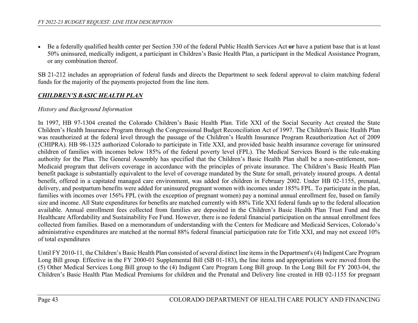• Be a federally qualified health center per Section 330 of the federal Public Health Services Act **or** have a patient base that is at least 50% uninsured, medically indigent, a participant in Children's Basic Health Plan, a participant in the Medical Assistance Program, or any combination thereof.

SB 21-212 includes an appropriation of federal funds and directs the Department to seek federal approval to claim matching federal funds for the majority of the payments projected from the line item.

## *CHILDREN'S BASIC HEALTH PLAN*

### *History and Background Information*

In 1997, HB 97-1304 created the Colorado Children's Basic Health Plan. Title XXI of the Social Security Act created the State Children's Health Insurance Program through the Congressional Budget Reconciliation Act of 1997. The Children's Basic Health Plan was reauthorized at the federal level through the passage of the Children's Health Insurance Program Reauthorization Act of 2009 (CHIPRA). HB 98-1325 authorized Colorado to participate in Title XXI, and provided basic health insurance coverage for uninsured children of families with incomes below 185% of the federal poverty level (FPL). The Medical Services Board is the rule-making authority for the Plan. The General Assembly has specified that the Children's Basic Health Plan shall be a non-entitlement, non-Medicaid program that delivers coverage in accordance with the principles of private insurance. The Children's Basic Health Plan benefit package is substantially equivalent to the level of coverage mandated by the State for small, privately insured groups. A dental benefit, offered in a capitated managed care environment, was added for children in February 2002. Under HB 02-1155, prenatal, delivery, and postpartum benefits were added for uninsured pregnant women with incomes under 185% FPL. To participate in the plan, families with incomes over 156% FPL (with the exception of pregnant women) pay a nominal annual enrollment fee, based on family size and income. All State expenditures for benefits are matched currently with 88% Title XXI federal funds up to the federal allocation available. Annual enrollment fees collected from families are deposited in the Children's Basic Health Plan Trust Fund and the Healthcare Affordability and Sustainability Fee Fund. However, there is no federal financial participation on the annual enrollment fees collected from families. Based on a memorandum of understanding with the Centers for Medicare and Medicaid Services, Colorado's administrative expenditures are matched at the normal 88% federal financial participation rate for Title XXI, and may not exceed 10% of total expenditures

Until FY 2010-11, the Children's Basic Health Plan consisted of several distinct line items in the Department's (4) Indigent Care Program Long Bill group. Effective in the FY 2000-01 Supplemental Bill (SB 01-183), the line items and appropriations were moved from the (5) Other Medical Services Long Bill group to the (4) Indigent Care Program Long Bill group. In the Long Bill for FY 2003-04, the Children's Basic Health Plan Medical Premiums for children and the Prenatal and Delivery line created in HB 02-1155 for pregnant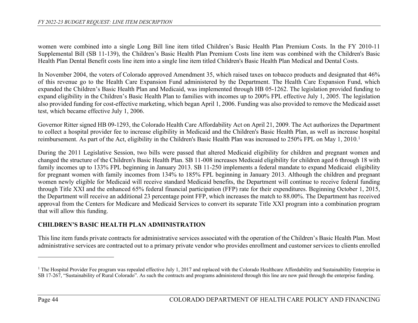women were combined into a single Long Bill line item titled Children's Basic Health Plan Premium Costs. In the FY 2010-11 Supplemental Bill (SB 11-139), the Children's Basic Health Plan Premium Costs line item was combined with the Children's Basic Health Plan Dental Benefit costs line item into a single line item titled Children's Basic Health Plan Medical and Dental Costs.

In November 2004, the voters of Colorado approved Amendment 35, which raised taxes on tobacco products and designated that 46% of this revenue go to the Health Care Expansion Fund administered by the Department. The Health Care Expansion Fund, which expanded the Children's Basic Health Plan and Medicaid, was implemented through HB 05-1262. The legislation provided funding to expand eligibility in the Children's Basic Health Plan to families with incomes up to 200% FPL effective July 1, 2005. The legislation also provided funding for cost-effective marketing, which began April 1, 2006. Funding was also provided to remove the Medicaid asset test, which became effective July 1, 2006.

Governor Ritter signed HB 09-1293, the Colorado Health Care Affordability Act on April 21, 2009. The Act authorizes the Department to collect a hospital provider fee to increase eligibility in Medicaid and the Children's Basic Health Plan, as well as increase hospital reimbursement. As part of the Act, eligibility in the Children's Basic Health Plan was increased to 250% FPL on May 1, 2010.<sup>1</sup>

During the 2011 Legislative Session, two bills were passed that altered Medicaid eligibility for children and pregnant women and changed the structure of the Children's Basic Health Plan. SB 11-008 increases Medicaid eligibility for children aged 6 through 18 with family incomes up to 133% FPL beginning in January 2013. SB 11-250 implements a federal mandate to expand Medicaid eligibility for pregnant women with family incomes from 134% to 185% FPL beginning in January 2013. Although the children and pregnant women newly eligible for Medicaid will receive standard Medicaid benefits, the Department will continue to receive federal funding through Title XXI and the enhanced 65% federal financial participation (FFP) rate for their expenditures. Beginning October 1, 2015, the Department will receive an additional 23 percentage point FFP, which increases the match to 88.00%. The Department has received approval from the Centers for Medicare and Medicaid Services to convert its separate Title XXI program into a combination program that will allow this funding.

## **CHILDREN'S BASIC HEALTH PLAN ADMINISTRATION**

This line item funds private contracts for administrative services associated with the operation of the Children's Basic Health Plan. Most administrative services are contracted out to a primary private vendor who provides enrollment and customer services to clients enrolled

<sup>&</sup>lt;sup>1</sup> The Hospital Provider Fee program was repealed effective July 1, 2017 and replaced with the Colorado Healthcare Affordability and Sustainability Enterprise in SB 17-267, "Sustainability of Rural Colorado". As such the contracts and programs administered through this line are now paid through the enterprise funding.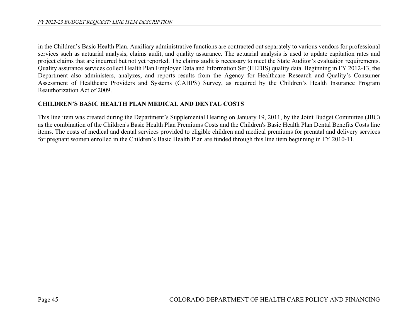in the Children's Basic Health Plan. Auxiliary administrative functions are contracted out separately to various vendors for professional services such as actuarial analysis, claims audit, and quality assurance. The actuarial analysis is used to update capitation rates and project claims that are incurred but not yet reported. The claims audit is necessary to meet the State Auditor's evaluation requirements. Quality assurance services collect Health Plan Employer Data and Information Set (HEDIS) quality data. Beginning in FY 2012-13, the Department also administers, analyzes, and reports results from the Agency for Healthcare Research and Quality's Consumer Assessment of Healthcare Providers and Systems (CAHPS) Survey, as required by the Children's Health Insurance Program Reauthorization Act of 2009.

### **CHILDREN'S BASIC HEALTH PLAN MEDICAL AND DENTAL COSTS**

This line item was created during the Department's Supplemental Hearing on January 19, 2011, by the Joint Budget Committee (JBC) as the combination of the Children's Basic Health Plan Premiums Costs and the Children's Basic Health Plan Dental Benefits Costs line items. The costs of medical and dental services provided to eligible children and medical premiums for prenatal and delivery services for pregnant women enrolled in the Children's Basic Health Plan are funded through this line item beginning in FY 2010-11.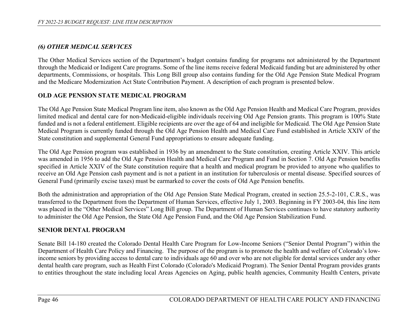# *(6) OTHER MEDICAL SERVICES*

The Other Medical Services section of the Department's budget contains funding for programs not administered by the Department through the Medicaid or Indigent Care programs. Some of the line items receive federal Medicaid funding but are administered by other departments, Commissions, or hospitals. This Long Bill group also contains funding for the Old Age Pension State Medical Program and the Medicare Modernization Act State Contribution Payment. A description of each program is presented below.

# **OLD AGE PENSION STATE MEDICAL PROGRAM**

The Old Age Pension State Medical Program line item, also known as the Old Age Pension Health and Medical Care Program, provides limited medical and dental care for non-Medicaid-eligible individuals receiving Old Age Pension grants. This program is 100% State funded and is not a federal entitlement. Eligible recipients are over the age of 64 and ineligible for Medicaid. The Old Age Pension State Medical Program is currently funded through the Old Age Pension Health and Medical Care Fund established in Article XXIV of the State constitution and supplemental General Fund appropriations to ensure adequate funding.

The Old Age Pension program was established in 1936 by an amendment to the State constitution, creating Article XXIV. This article was amended in 1956 to add the Old Age Pension Health and Medical Care Program and Fund in Section 7. Old Age Pension benefits specified in Article XXIV of the State constitution require that a health and medical program be provided to anyone who qualifies to receive an Old Age Pension cash payment and is not a patient in an institution for tuberculosis or mental disease. Specified sources of General Fund (primarily excise taxes) must be earmarked to cover the costs of Old Age Pension benefits.

Both the administration and appropriation of the Old Age Pension State Medical Program, created in section 25.5-2-101, C.R.S., was transferred to the Department from the Department of Human Services, effective July 1, 2003. Beginning in FY 2003-04, this line item was placed in the "Other Medical Services" Long Bill group. The Department of Human Services continues to have statutory authority to administer the Old Age Pension, the State Old Age Pension Fund, and the Old Age Pension Stabilization Fund.

# **SENIOR DENTAL PROGRAM**

Senate Bill 14-180 created the Colorado Dental Health Care Program for Low-Income Seniors ("Senior Dental Program") within the Department of Health Care Policy and Financing. The purpose of the program is to promote the health and welfare of Colorado's lowincome seniors by providing access to dental care to individuals age 60 and over who are not eligible for dental services under any other dental health care program, such as Health First Colorado (Colorado's Medicaid Program). The Senior Dental Program provides grants to entities throughout the state including local Areas Agencies on Aging, public health agencies, Community Health Centers, private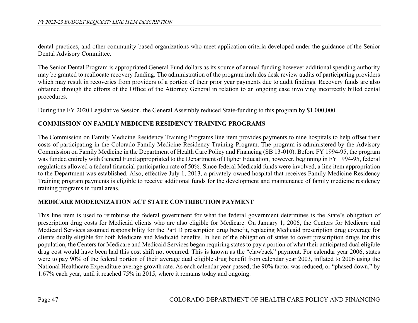dental practices, and other community-based organizations who meet application criteria developed under the guidance of the Senior Dental Advisory Committee.

The Senior Dental Program is appropriated General Fund dollars as its source of annual funding however additional spending authority may be granted to reallocate recovery funding. The administration of the program includes desk review audits of participating providers which may result in recoveries from providers of a portion of their prior year payments due to audit findings. Recovery funds are also obtained through the efforts of the Office of the Attorney General in relation to an ongoing case involving incorrectly billed dental procedures.

During the FY 2020 Legislative Session, the General Assembly reduced State-funding to this program by \$1,000,000.

## **COMMISSION ON FAMILY MEDICINE RESIDENCY TRAINING PROGRAMS**

The Commission on Family Medicine Residency Training Programs line item provides payments to nine hospitals to help offset their costs of participating in the Colorado Family Medicine Residency Training Program. The program is administered by the Advisory Commission on Family Medicine in the Department of Health Care Policy and Financing (SB 13-010). Before FY 1994-95, the program was funded entirely with General Fund appropriated to the Department of Higher Education, however, beginning in FY 1994-95, federal regulations allowed a federal financial participation rate of 50%. Since federal Medicaid funds were involved, a line item appropriation to the Department was established. Also, effective July 1, 2013, a privately-owned hospital that receives Family Medicine Residency Training program payments is eligible to receive additional funds for the development and maintenance of family medicine residency training programs in rural areas.

## **MEDICARE MODERNIZATION ACT STATE CONTRIBUTION PAYMENT**

This line item is used to reimburse the federal government for what the federal government determines is the State's obligation of prescription drug costs for Medicaid clients who are also eligible for Medicare. On January 1, 2006, the Centers for Medicare and Medicaid Services assumed responsibility for the Part D prescription drug benefit, replacing Medicaid prescription drug coverage for clients dually eligible for both Medicare and Medicaid benefits. In lieu of the obligation of states to cover prescription drugs for this population, the Centers for Medicare and Medicaid Services began requiring states to pay a portion of what their anticipated dual eligible drug cost would have been had this cost shift not occurred. This is known as the "clawback" payment. For calendar year 2006, states were to pay 90% of the federal portion of their average dual eligible drug benefit from calendar year 2003, inflated to 2006 using the National Healthcare Expenditure average growth rate. As each calendar year passed, the 90% factor was reduced, or "phased down," by 1.67% each year, until it reached 75% in 2015, where it remains today and ongoing.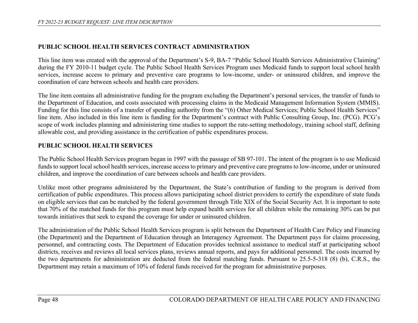# **PUBLIC SCHOOL HEALTH SERVICES CONTRACT ADMINISTRATION**

This line item was created with the approval of the Department's S-9, BA-7 "Public School Health Services Administrative Claiming" during the FY 2010-11 budget cycle. The Public School Health Services Program uses Medicaid funds to support local school health services, increase access to primary and preventive care programs to low-income, under- or uninsured children, and improve the coordination of care between schools and health care providers.

The line item contains all administrative funding for the program excluding the Department's personal services, the transfer of funds to the Department of Education, and costs associated with processing claims in the Medicaid Management Information System (MMIS). Funding for this line consists of a transfer of spending authority from the "(6) Other Medical Services; Public School Health Services" line item. Also included in this line item is funding for the Department's contract with Public Consulting Group, Inc. (PCG). PCG's scope of work includes planning and administering time studies to support the rate-setting methodology, training school staff, defining allowable cost, and providing assistance in the certification of public expenditures process.

# **PUBLIC SCHOOL HEALTH SERVICES**

The Public School Health Services program began in 1997 with the passage of SB 97-101. The intent of the program is to use Medicaid funds to support local school health services, increase access to primary and preventive care programs to low-income, under or uninsured children, and improve the coordination of care between schools and health care providers.

Unlike most other programs administered by the Department, the State's contribution of funding to the program is derived from certification of public expenditures. This process allows participating school district providers to certify the expenditure of state funds on eligible services that can be matched by the federal government through Title XIX of the Social Security Act. It is important to note that 70% of the matched funds for this program must help expand health services for all children while the remaining 30% can be put towards initiatives that seek to expand the coverage for under or uninsured children.

The administration of the Public School Health Services program is split between the Department of Health Care Policy and Financing (the Department) and the Department of Education through an Interagency Agreement. The Department pays for claims processing, personnel, and contracting costs. The Department of Education provides technical assistance to medical staff at participating school districts, receives and reviews all local services plans, reviews annual reports, and pays for additional personnel. The costs incurred by the two departments for administration are deducted from the federal matching funds. Pursuant to 25.5-5-318 (8) (b), C.R.S., the Department may retain a maximum of 10% of federal funds received for the program for administrative purposes.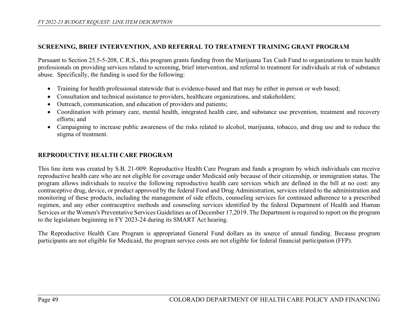### **SCREENING, BRIEF INTERVENTION, AND REFERRAL TO TREATMENT TRAINING GRANT PROGRAM**

Pursuant to Section 25.5-5-208, C.R.S., this program grants funding from the Marijuana Tax Cash Fund to organizations to train health professionals on providing services related to screening, brief intervention, and referral to treatment for individuals at risk of substance abuse. Specifically, the funding is used for the following:

- Training for health professional statewide that is evidence-based and that may be either in person or web based;
- Consultation and technical assistance to providers, healthcare organizations, and stakeholders;
- Outreach, communication, and education of providers and patients;
- Coordination with primary care, mental health, integrated health care, and substance use prevention, treatment and recovery efforts; and
- Campaigning to increase public awareness of the risks related to alcohol, marijuana, tobacco, and drug use and to reduce the stigma of treatment.

# **REPRODUCTIVE HEALTH CARE PROGRAM**

This line item was created by S.B. 21-009: Reproductive Health Care Program and funds a program by which individuals can receive reproductive health care who are not eligible for coverage under Medicaid only because of their citizenship, or immigration status. The program allows individuals to receive the following reproductive health care services which are defined in the bill at no cost: any contraceptive drug, device, or product approved by the federal Food and Drug Administration, services related to the administration and monitoring of these products, including the management of side effects, counseling services for continued adherence to a prescribed regimen, and any other contraceptive methods and counseling services identified by the federal Department of Health and Human Services or the Women's Preventative Services Guidelines as of December 17,2019. The Department is required to report on the program to the legislature beginning in FY 2023-24 during its SMART Act hearing.

The Reproductive Health Care Program is appropriated General Fund dollars as its source of annual funding. Because program participants are not eligible for Medicaid, the program service costs are not eligible for federal financial participation (FFP).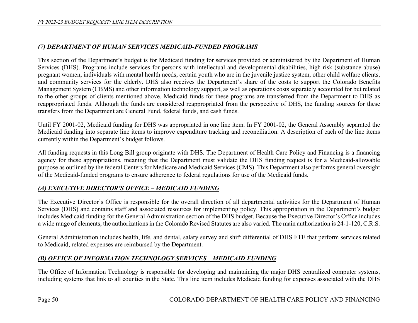## *(7) DEPARTMENT OF HUMAN SERVICES MEDICAID-FUNDED PROGRAMS*

This section of the Department's budget is for Medicaid funding for services provided or administered by the Department of Human Services (DHS). Programs include services for persons with intellectual and developmental disabilities, high-risk (substance abuse) pregnant women, individuals with mental health needs, certain youth who are in the juvenile justice system, other child welfare clients, and community services for the elderly. DHS also receives the Department's share of the costs to support the Colorado Benefits Management System (CBMS) and other information technology support, as well as operations costs separately accounted for but related to the other groups of clients mentioned above. Medicaid funds for these programs are transferred from the Department to DHS as reappropriated funds. Although the funds are considered reappropriated from the perspective of DHS, the funding sources for these transfers from the Department are General Fund, federal funds, and cash funds.

Until FY 2001-02, Medicaid funding for DHS was appropriated in one line item. In FY 2001-02, the General Assembly separated the Medicaid funding into separate line items to improve expenditure tracking and reconciliation. A description of each of the line items currently within the Department's budget follows.

All funding requests in this Long Bill group originate with DHS. The Department of Health Care Policy and Financing is a financing agency for these appropriations, meaning that the Department must validate the DHS funding request is for a Medicaid-allowable purpose as outlined by the federal Centers for Medicare and Medicaid Services (CMS). This Department also performs general oversight of the Medicaid-funded programs to ensure adherence to federal regulations for use of the Medicaid funds.

## *(A) EXECUTIVE DIRECTOR'S OFFICE – MEDICAID FUNDING*

The Executive Director's Office is responsible for the overall direction of all departmental activities for the Department of Human Services (DHS) and contains staff and associated resources for implementing policy. This appropriation in the Department's budget includes Medicaid funding for the General Administration section of the DHS budget. Because the Executive Director's Office includes a wide range of elements, the authorizations in the Colorado Revised Statutes are also varied. The main authorization is 24-1-120, C.R.S.

General Administration includes health, life, and dental, salary survey and shift differential of DHS FTE that perform services related to Medicaid, related expenses are reimbursed by the Department.

# *(B) OFFICE OF INFORMATION TECHNOLOGY SERVICES – MEDICAID FUNDING*

The Office of Information Technology is responsible for developing and maintaining the major DHS centralized computer systems, including systems that link to all counties in the State. This line item includes Medicaid funding for expenses associated with the DHS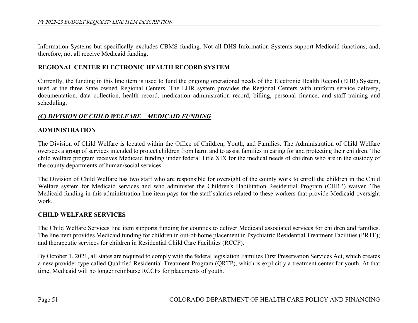Information Systems but specifically excludes CBMS funding. Not all DHS Information Systems support Medicaid functions, and, therefore, not all receive Medicaid funding.

#### **REGIONAL CENTER ELECTRONIC HEALTH RECORD SYSTEM**

Currently, the funding in this line item is used to fund the ongoing operational needs of the Electronic Health Record (EHR) System, used at the three State owned Regional Centers. The EHR system provides the Regional Centers with uniform service delivery, documentation, data collection, health record, medication administration record, billing, personal finance, and staff training and scheduling.

#### *(C) DIVISION OF CHILD WELFARE – MEDICAID FUNDING*

#### **ADMINISTRATION**

The Division of Child Welfare is located within the Office of Children, Youth, and Families. The Administration of Child Welfare oversees a group of services intended to protect children from harm and to assist families in caring for and protecting their children. The child welfare program receives Medicaid funding under federal Title XIX for the medical needs of children who are in the custody of the county departments of human/social services.

The Division of Child Welfare has two staff who are responsible for oversight of the county work to enroll the children in the Child Welfare system for Medicaid services and who administer the Children's Habilitation Residential Program (CHRP) waiver. The Medicaid funding in this administration line item pays for the staff salaries related to these workers that provide Medicaid-oversight work.

#### **CHILD WELFARE SERVICES**

The Child Welfare Services line item supports funding for counties to deliver Medicaid associated services for children and families. The line item provides Medicaid funding for children in out-of-home placement in Psychiatric Residential Treatment Facilities (PRTF); and therapeutic services for children in Residential Child Care Facilities (RCCF).

By October 1, 2021, all states are required to comply with the federal legislation Families First Preservation Services Act, which creates a new provider type called Qualified Residential Treatment Program (QRTP), which is explicitly a treatment center for youth. At that time, Medicaid will no longer reimburse RCCFs for placements of youth.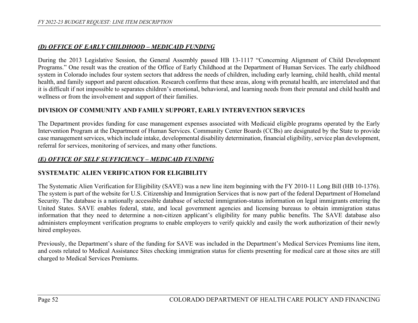#### *(D) OFFICE OF EARLY CHILDHOOD – MEDICAID FUNDING*

During the 2013 Legislative Session, the General Assembly passed HB 13-1117 "Concerning Alignment of Child Development Programs." One result was the creation of the Office of Early Childhood at the Department of Human Services. The early childhood system in Colorado includes four system sectors that address the needs of children, including early learning, child health, child mental health, and family support and parent education. Research confirms that these areas, along with prenatal health, are interrelated and that it is difficult if not impossible to separates children's emotional, behavioral, and learning needs from their prenatal and child health and wellness or from the involvement and support of their families.

#### **DIVISION OF COMMUNITY AND FAMILY SUPPORT, EARLY INTERVENTION SERVICES**

The Department provides funding for case management expenses associated with Medicaid eligible programs operated by the Early Intervention Program at the Department of Human Services. Community Center Boards (CCBs) are designated by the State to provide case management services, which include intake, developmental disability determination, financial eligibility, service plan development, referral for services, monitoring of services, and many other functions.

### *(E) OFFICE OF SELF SUFFICIENCY – MEDICAID FUNDING*

#### **SYSTEMATIC ALIEN VERIFICATION FOR ELIGIBILITY**

The Systematic Alien Verification for Eligibility (SAVE) was a new line item beginning with the FY 2010-11 Long Bill (HB 10-1376). The system is part of the website for U.S. Citizenship and Immigration Services that is now part of the federal Department of Homeland Security. The database is a nationally accessible database of selected immigration-status information on legal immigrants entering the United States. SAVE enables federal, state, and local government agencies and licensing bureaus to obtain immigration status information that they need to determine a non-citizen applicant's eligibility for many public benefits. The SAVE database also administers employment verification programs to enable employers to verify quickly and easily the work authorization of their newly hired employees.

Previously, the Department's share of the funding for SAVE was included in the Department's Medical Services Premiums line item, and costs related to Medical Assistance Sites checking immigration status for clients presenting for medical care at those sites are still charged to Medical Services Premiums.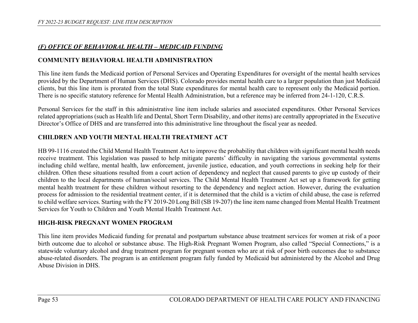## *(F) OFFICE OF BEHAVIORAL HEALTH – MEDICAID FUNDING*

## **COMMUNITY BEHAVIORAL HEALTH ADMINISTRATION**

This line item funds the Medicaid portion of Personal Services and Operating Expenditures for oversight of the mental health services provided by the Department of Human Services (DHS). Colorado provides mental health care to a larger population than just Medicaid clients, but this line item is prorated from the total State expenditures for mental health care to represent only the Medicaid portion. There is no specific statutory reference for Mental Health Administration, but a reference may be inferred from 24-1-120, C.R.S.

Personal Services for the staff in this administrative line item include salaries and associated expenditures. Other Personal Services related appropriations (such as Health life and Dental, Short Term Disability, and other items) are centrally appropriated in the Executive Director's Office of DHS and are transferred into this administrative line throughout the fiscal year as needed.

# **CHILDREN AND YOUTH MENTAL HEALTH TREATMENT ACT**

HB 99-1116 created the Child Mental Health Treatment Act to improve the probability that children with significant mental health needs receive treatment. This legislation was passed to help mitigate parents' difficulty in navigating the various governmental systems including child welfare, mental health, law enforcement, juvenile justice, education, and youth corrections in seeking help for their children. Often these situations resulted from a court action of dependency and neglect that caused parents to give up custody of their children to the local departments of human/social services. The Child Mental Health Treatment Act set up a framework for getting mental health treatment for these children without resorting to the dependency and neglect action. However, during the evaluation process for admission to the residential treatment center, if it is determined that the child is a victim of child abuse, the case is referred to child welfare services. Starting with the FY 2019-20 Long Bill (SB 19-207) the line item name changed from Mental Health Treatment Services for Youth to Children and Youth Mental Health Treatment Act.

## **HIGH-RISK PREGNANT WOMEN PROGRAM**

This line item provides Medicaid funding for prenatal and postpartum substance abuse treatment services for women at risk of a poor birth outcome due to alcohol or substance abuse. The High-Risk Pregnant Women Program, also called "Special Connections," is a statewide voluntary alcohol and drug treatment program for pregnant women who are at risk of poor birth outcomes due to substance abuse-related disorders. The program is an entitlement program fully funded by Medicaid but administered by the Alcohol and Drug Abuse Division in DHS.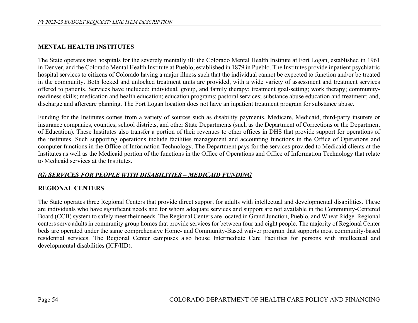### **MENTAL HEALTH INSTITUTES**

The State operates two hospitals for the severely mentally ill: the Colorado Mental Health Institute at Fort Logan, established in 1961 in Denver, and the Colorado Mental Health Institute at Pueblo, established in 1879 in Pueblo. The Institutes provide inpatient psychiatric hospital services to citizens of Colorado having a major illness such that the individual cannot be expected to function and/or be treated in the community. Both locked and unlocked treatment units are provided, with a wide variety of assessment and treatment services offered to patients. Services have included: individual, group, and family therapy; treatment goal-setting; work therapy; communityreadiness skills; medication and health education; education programs; pastoral services; substance abuse education and treatment; and, discharge and aftercare planning. The Fort Logan location does not have an inpatient treatment program for substance abuse.

Funding for the Institutes comes from a variety of sources such as disability payments, Medicare, Medicaid, third-party insurers or insurance companies, counties, school districts, and other State Departments (such as the Department of Corrections or the Department of Education). These Institutes also transfer a portion of their revenues to other offices in DHS that provide support for operations of the institutes. Such supporting operations include facilities management and accounting functions in the Office of Operations and computer functions in the Office of Information Technology. The Department pays for the services provided to Medicaid clients at the Institutes as well as the Medicaid portion of the functions in the Office of Operations and Office of Information Technology that relate to Medicaid services at the Institutes.

#### *(G) SERVICES FOR PEOPLE WITH DISABILITIES – MEDICAID FUNDING*

#### **REGIONAL CENTERS**

The State operates three Regional Centers that provide direct support for adults with intellectual and developmental disabilities. These are individuals who have significant needs and for whom adequate services and support are not available in the Community-Centered Board (CCB) system to safely meet their needs. The Regional Centers are located in Grand Junction, Pueblo, and Wheat Ridge. Regional centers serve adults in community group homes that provide services for between four and eight people. The majority of Regional Center beds are operated under the same comprehensive Home- and Community-Based waiver program that supports most community-based residential services. The Regional Center campuses also house Intermediate Care Facilities for persons with intellectual and developmental disabilities (ICF/IID).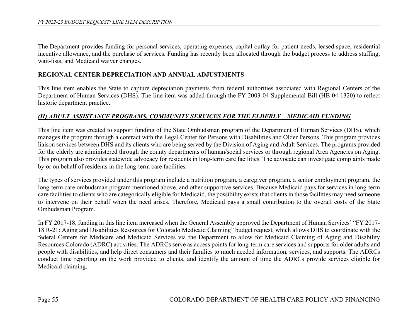The Department provides funding for personal services, operating expenses, capital outlay for patient needs, leased space, residential incentive allowance, and the purchase of services. Funding has recently been allocated through the budget process to address staffing, wait-lists, and Medicaid waiver changes.

#### **REGIONAL CENTER DEPRECIATION AND ANNUAL ADJUSTMENTS**

This line item enables the State to capture depreciation payments from federal authorities associated with Regional Centers of the Department of Human Services (DHS). The line item was added through the FY 2003-04 Supplemental Bill (HB 04-1320) to reflect historic department practice.

#### *(H) ADULT ASSISTANCE PROGRAMS, COMMUNITY SERVICES FOR THE ELDERLY – MEDICAID FUNDING*

This line item was created to support funding of the State Ombudsman program of the Department of Human Services (DHS), which manages the program through a contract with the Legal Center for Persons with Disabilities and Older Persons. This program provides liaison services between DHS and its clients who are being served by the Division of Aging and Adult Services. The programs provided for the elderly are administered through the county departments of human/social services or through regional Area Agencies on Aging. This program also provides statewide advocacy for residents in long-term care facilities. The advocate can investigate complaints made by or on behalf of residents in the long-term care facilities.

The types of services provided under this program include a nutrition program, a caregiver program, a senior employment program, the long-term care ombudsman program mentioned above, and other supportive services. Because Medicaid pays for services in long-term care facilities to clients who are categorically eligible for Medicaid, the possibility exists that clients in those facilities may need someone to intervene on their behalf when the need arises. Therefore, Medicaid pays a small contribution to the overall costs of the State Ombudsman Program.

In FY 2017-18, funding in this line item increased when the General Assembly approved the Department of Human Services' "FY 2017- 18 R-21: Aging and Disabilities Resources for Colorado Medicaid Claiming" budget request, which allows DHS to coordinate with the federal Centers for Medicare and Medicaid Services via the Department to allow for Medicaid Claiming of Aging and Disability Resources Colorado (ADRC) activities. The ADRCs serve as access points for long-term care services and supports for older adults and people with disabilities, and help direct consumers and their families to much needed information, services, and supports. The ADRCs conduct time reporting on the work provided to clients, and identify the amount of time the ADRCs provide services eligible for Medicaid claiming.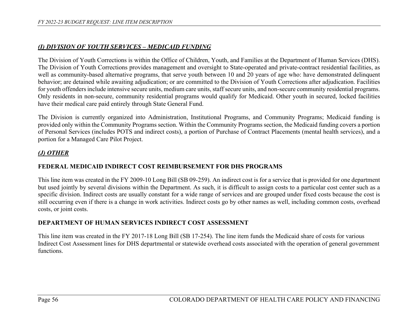## *(I) DIVISION OF YOUTH SERVICES – MEDICAID FUNDING*

The Division of Youth Corrections is within the Office of Children, Youth, and Families at the Department of Human Services (DHS). The Division of Youth Corrections provides management and oversight to State-operated and private-contract residential facilities, as well as community-based alternative programs, that serve youth between 10 and 20 years of age who: have demonstrated delinquent behavior; are detained while awaiting adjudication; or are committed to the Division of Youth Corrections after adjudication. Facilities for youth offenders include intensive secure units, medium care units, staff secure units, and non-secure community residential programs. Only residents in non-secure, community residential programs would qualify for Medicaid. Other youth in secured, locked facilities have their medical care paid entirely through State General Fund.

The Division is currently organized into Administration, Institutional Programs, and Community Programs; Medicaid funding is provided only within the Community Programs section. Within the Community Programs section, the Medicaid funding covers a portion of Personal Services (includes POTS and indirect costs), a portion of Purchase of Contract Placements (mental health services), and a portion for a Managed Care Pilot Project.

# *(J) OTHER*

## **FEDERAL MEDICAID INDIRECT COST REIMBURSEMENT FOR DHS PROGRAMS**

This line item was created in the FY 2009-10 Long Bill (SB 09-259). An indirect cost is for a service that is provided for one department but used jointly by several divisions within the Department. As such, it is difficult to assign costs to a particular cost center such as a specific division. Indirect costs are usually constant for a wide range of services and are grouped under fixed costs because the cost is still occurring even if there is a change in work activities. Indirect costs go by other names as well, including common costs, overhead costs, or joint costs.

# **DEPARTMENT OF HUMAN SERVICES INDIRECT COST ASSESSMENT**

This line item was created in the FY 2017-18 Long Bill (SB 17-254). The line item funds the Medicaid share of costs for various Indirect Cost Assessment lines for DHS departmental or statewide overhead costs associated with the operation of general government functions.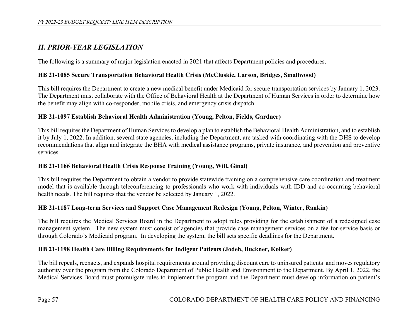# *II. PRIOR-YEAR LEGISLATION*

The following is a summary of major legislation enacted in 2021 that affects Department policies and procedures.

## **HB 21-1085 Secure Transportation Behavioral Health Crisis (McCluskie, Larson, Bridges, Smallwood)**

This bill requires the Department to create a new medical benefit under Medicaid for secure transportation services by January 1, 2023. The Department must collaborate with the Office of Behavioral Health at the Department of Human Services in order to determine how the benefit may align with co-responder, mobile crisis, and emergency crisis dispatch.

#### **HB 21-1097 Establish Behavioral Health Administration (Young, Pelton, Fields, Gardner)**

This bill requires the Department of Human Services to develop a plan to establish the Behavioral Health Administration, and to establish it by July 1, 2022. In addition, several state agencies, including the Department, are tasked with coordinating with the DHS to develop recommendations that align and integrate the BHA with medical assistance programs, private insurance, and prevention and preventive services.

#### **HB 21-1166 Behavioral Health Crisis Response Training (Young, Will, Ginal)**

This bill requires the Department to obtain a vendor to provide statewide training on a comprehensive care coordination and treatment model that is available through teleconferencing to professionals who work with individuals with IDD and co-occurring behavioral health needs. The bill requires that the vendor be selected by January 1, 2022.

#### **HB 21-1187 Long-term Services and Support Case Management Redesign (Young, Pelton, Winter, Rankin)**

The bill requires the Medical Services Board in the Department to adopt rules providing for the establishment of a redesigned case management system. The new system must consist of agencies that provide case management services on a fee-for-service basis or through Colorado's Medicaid program. In developing the system, the bill sets specific deadlines for the Department.

#### **HB 21-1198 Health Care Billing Requirements for Indigent Patients (Jodeh, Buckner, Kolker)**

The bill repeals, reenacts, and expands hospital requirements around providing discount care to uninsured patients and moves regulatory authority over the program from the Colorado Department of Public Health and Environment to the Department. By April 1, 2022, the Medical Services Board must promulgate rules to implement the program and the Department must develop information on patient's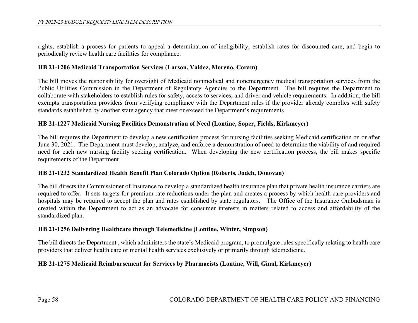rights, establish a process for patients to appeal a determination of ineligibility, establish rates for discounted care, and begin to periodically review health care facilities for compliance.

#### **HB 21-1206 Medicaid Transportation Services (Larson, Valdez, Moreno, Coram)**

The bill moves the responsibility for oversight of Medicaid nonmedical and nonemergency medical transportation services from the Public Utilities Commission in the Department of Regulatory Agencies to the Department. The bill requires the Department to collaborate with stakeholders to establish rules for safety, access to services, and driver and vehicle requirements. In addition, the bill exempts transportation providers from verifying compliance with the Department rules if the provider already complies with safety standards established by another state agency that meet or exceed the Department's requirements.

#### **HB 21-1227 Medicaid Nursing Facilities Demonstration of Need (Lontine, Soper, Fields, Kirkmeyer)**

The bill requires the Department to develop a new certification process for nursing facilities seeking Medicaid certification on or after June 30, 2021. The Department must develop, analyze, and enforce a demonstration of need to determine the viability of and required need for each new nursing facility seeking certification. When developing the new certification process, the bill makes specific requirements of the Department.

#### **HB 21-1232 Standardized Health Benefit Plan Colorado Option (Roberts, Jodeh, Donovan)**

The bill directs the Commissioner of Insurance to develop a standardized health insurance plan that private health insurance carriers are required to offer. It sets targets for premium rate reductions under the plan and creates a process by which health care providers and hospitals may be required to accept the plan and rates established by state regulators. The Office of the Insurance Ombudsman is created within the Department to act as an advocate for consumer interests in matters related to access and affordability of the standardized plan.

#### **HB 21-1256 Delivering Healthcare through Telemedicine (Lontine, Winter, Simpson)**

The bill directs the Department , which administers the state's Medicaid program, to promulgate rules specifically relating to health care providers that deliver health care or mental health services exclusively or primarily through telemedicine.

#### **HB 21-1275 Medicaid Reimbursement for Services by Pharmacists (Lontine, Will, Ginal, Kirkmeyer)**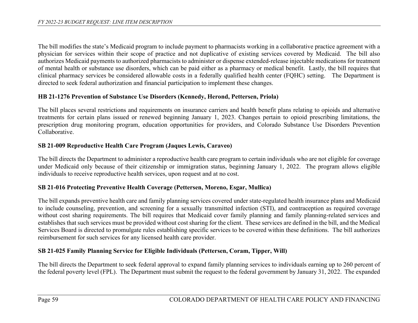The bill modifies the state's Medicaid program to include payment to pharmacists working in a collaborative practice agreement with a physician for services within their scope of practice and not duplicative of existing services covered by Medicaid. The bill also authorizes Medicaid payments to authorized pharmacists to administer or dispense extended-release injectable medications for treatment of mental health or substance use disorders, which can be paid either as a pharmacy or medical benefit. Lastly, the bill requires that clinical pharmacy services be considered allowable costs in a federally qualified health center (FQHC) setting. The Department is directed to seek federal authorization and financial participation to implement these changes.

### **HB 21-1276 Prevention of Substance Use Disorders (Kennedy, Herond, Pettersen, Priola)**

The bill places several restrictions and requirements on insurance carriers and health benefit plans relating to opioids and alternative treatments for certain plans issued or renewed beginning January 1, 2023. Changes pertain to opioid prescribing limitations, the prescription drug monitoring program, education opportunities for providers, and Colorado Substance Use Disorders Prevention Collaborative.

### **SB 21-009 Reproductive Health Care Program (Jaques Lewis, Caraveo)**

The bill directs the Department to administer a reproductive health care program to certain individuals who are not eligible for coverage under Medicaid only because of their citizenship or immigration status, beginning January 1, 2022. The program allows eligible individuals to receive reproductive health services, upon request and at no cost.

#### **SB 21-016 Protecting Preventive Health Coverage (Pettersen, Moreno, Esgar, Mullica)**

The bill expands preventive health care and family planning services covered under state-regulated health insurance plans and Medicaid to include counseling, prevention, and screening for a sexually transmitted infection (STI), and contraception as required coverage without cost sharing requirements. The bill requires that Medicaid cover family planning and family planning-related services and establishes that such services must be provided without cost sharing for the client. These services are defined in the bill, and the Medical Services Board is directed to promulgate rules establishing specific services to be covered within these definitions. The bill authorizes reimbursement for such services for any licensed health care provider.

#### **SB 21-025 Family Planning Service for Eligible Individuals (Pettersen, Coram, Tipper, Will)**

The bill directs the Department to seek federal approval to expand family planning services to individuals earning up to 260 percent of the federal poverty level (FPL). The Department must submit the request to the federal government by January 31, 2022. The expanded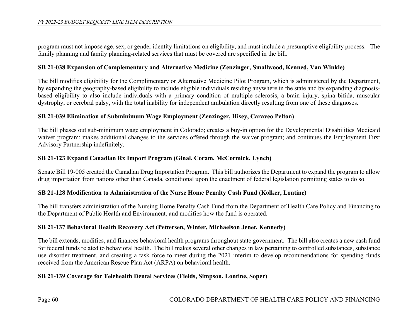program must not impose age, sex, or gender identity limitations on eligibility, and must include a presumptive eligibility process. The family planning and family planning-related services that must be covered are specified in the bill.

#### **SB 21-038 Expansion of Complementary and Alternative Medicine (Zenzinger, Smallwood, Kenned, Van Winkle)**

The bill modifies eligibility for the Complimentary or Alternative Medicine Pilot Program, which is administered by the Department, by expanding the geography-based eligibility to include eligible individuals residing anywhere in the state and by expanding diagnosisbased eligibility to also include individuals with a primary condition of multiple sclerosis, a brain injury, spina bifida, muscular dystrophy, or cerebral palsy, with the total inability for independent ambulation directly resulting from one of these diagnoses.

#### **SB 21-039 Elimination of Subminimum Wage Employment (Zenzinger, Hisey, Caraveo Pelton)**

The bill phases out sub-minimum wage employment in Colorado; creates a buy-in option for the Developmental Disabilities Medicaid waiver program; makes additional changes to the services offered through the waiver program; and continues the Employment First Advisory Partnership indefinitely.

#### **SB 21-123 Expand Canadian Rx Import Program (Ginal, Coram, McCormick, Lynch)**

Senate Bill 19-005 created the Canadian Drug Importation Program. This bill authorizes the Department to expand the program to allow drug importation from nations other than Canada, conditional upon the enactment of federal legislation permitting states to do so.

#### **SB 21-128 Modification to Administration of the Nurse Home Penalty Cash Fund (Kolker, Lontine)**

The bill transfers administration of the Nursing Home Penalty Cash Fund from the Department of Health Care Policy and Financing to the Department of Public Health and Environment, and modifies how the fund is operated.

#### **SB 21-137 Behavioral Health Recovery Act (Pettersen, Winter, Michaelson Jenet, Kennedy)**

The bill extends, modifies, and finances behavioral health programs throughout state government. The bill also creates a new cash fund for federal funds related to behavioral health. The bill makes several other changes in law pertaining to controlled substances, substance use disorder treatment, and creating a task force to meet during the 2021 interim to develop recommendations for spending funds received from the American Rescue Plan Act (ARPA) on behavioral health.

#### **SB 21-139 Coverage for Telehealth Dental Services (Fields, Simpson, Lontine, Soper)**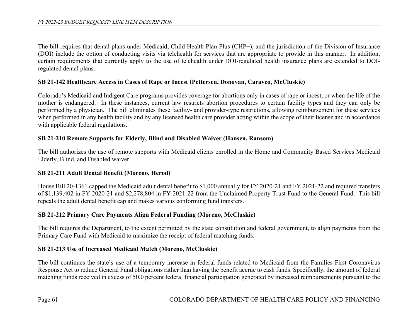The bill requires that dental plans under Medicaid, Child Health Plan Plus (CHP+), and the jurisdiction of the Division of Insurance (DOI) include the option of conducting visits via telehealth for services that are appropriate to provide in this manner. In addition, certain requirements that currently apply to the use of telehealth under DOI-regulated health insurance plans are extended to DOIregulated dental plans.

#### **SB 21-142 Healthcare Access in Cases of Rape or Incest (Pettersen, Donovan, Caraveo, McCluskie)**

Colorado's Medicaid and Indigent Care programs provides coverage for abortions only in cases of rape or incest, or when the life of the mother is endangered. In these instances, current law restricts abortion procedures to certain facility types and they can only be performed by a physician. The bill eliminates these facility- and provider-type restrictions, allowing reimbursement for these services when performed in any health facility and by any licensed health care provider acting within the scope of their license and in accordance with applicable federal regulations.

#### **SB 21-210 Remote Supports for Elderly, Blind and Disabled Waiver (Hansen, Ransom)**

The bill authorizes the use of remote supports with Medicaid clients enrolled in the Home and Community Based Services Medicaid Elderly, Blind, and Disabled waiver.

#### **SB 21-211 Adult Dental Benefit (Moreno, Herod)**

House Bill 20-1361 capped the Medicaid adult dental benefit to \$1,000 annually for FY 2020-21 and FY 2021-22 and required transfers of \$1,139,402 in FY 2020-21 and \$2,278,804 in FY 2021-22 from the Unclaimed Property Trust Fund to the General Fund. This bill repeals the adult dental benefit cap and makes various conforming fund transfers.

#### **SB 21-212 Primary Care Payments Align Federal Funding (Moreno, McCluskie)**

The bill requires the Department, to the extent permitted by the state constitution and federal government, to align payments from the Primary Care Fund with Medicaid to maximize the receipt of federal matching funds.

#### **SB 21-213 Use of Increased Medicaid Match (Moreno, McCluskie)**

The bill continues the state's use of a temporary increase in federal funds related to Medicaid from the Families First Coronavirus Response Act to reduce General Fund obligations rather than having the benefit accrue to cash funds. Specifically, the amount of federal matching funds received in excess of 50.0 percent federal financial participation generated by increased reimbursements pursuant to the